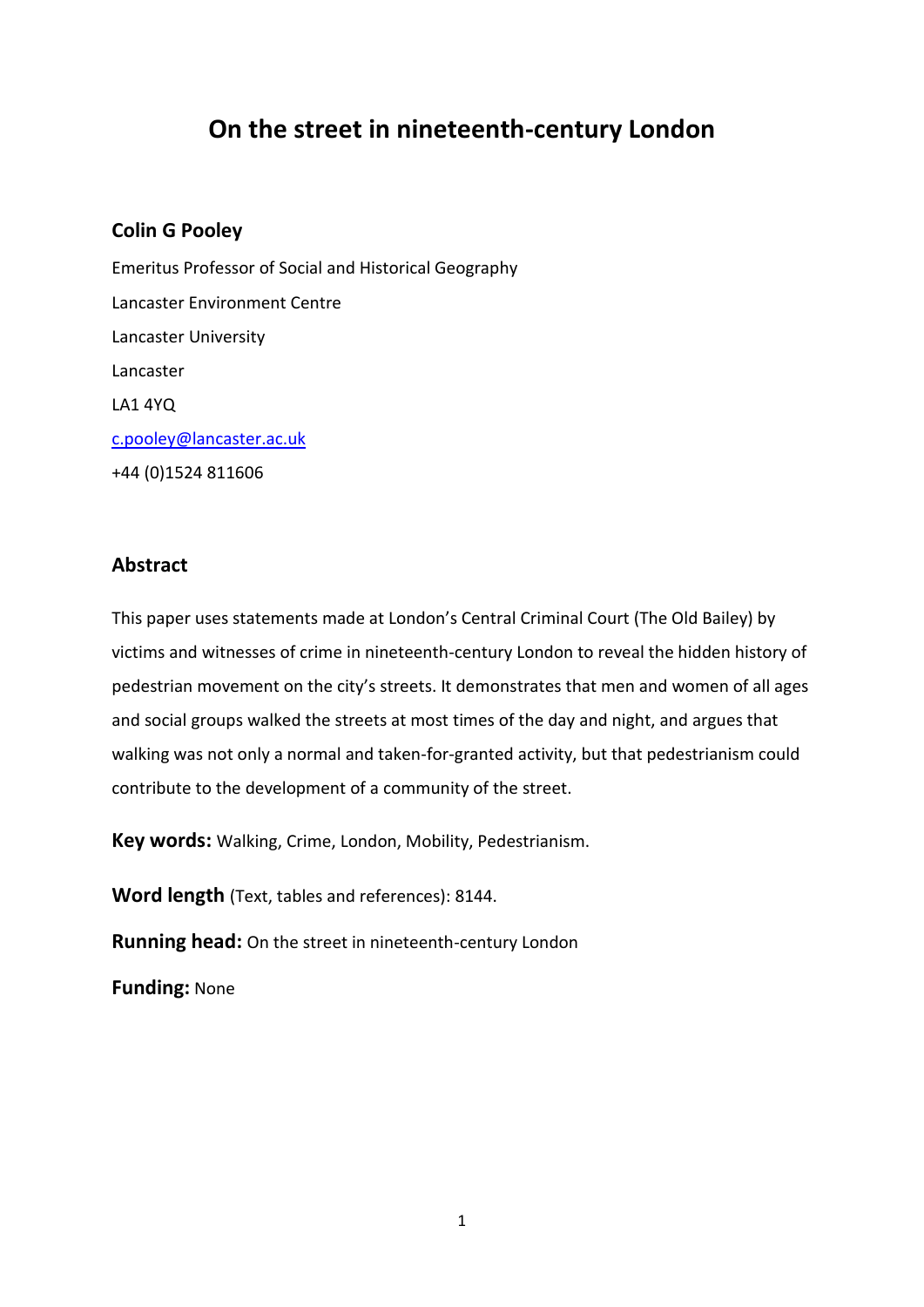# **On the street in nineteenth-century London**

# **Colin G Pooley**

Emeritus Professor of Social and Historical Geography Lancaster Environment Centre Lancaster University Lancaster LA1 4YQ [c.pooley@lancaster.ac.uk](mailto:c.pooley@lancaster.ac.uk) +44 (0)1524 811606

# **Abstract**

This paper uses statements made at London's Central Criminal Court (The Old Bailey) by victims and witnesses of crime in nineteenth-century London to reveal the hidden history of pedestrian movement on the city's streets. It demonstrates that men and women of all ages and social groups walked the streets at most times of the day and night, and argues that walking was not only a normal and taken-for-granted activity, but that pedestrianism could contribute to the development of a community of the street.

**Key words:** Walking, Crime, London, Mobility, Pedestrianism.

**Word length** (Text, tables and references): 8144.

**Running head:** On the street in nineteenth-century London

**Funding:** None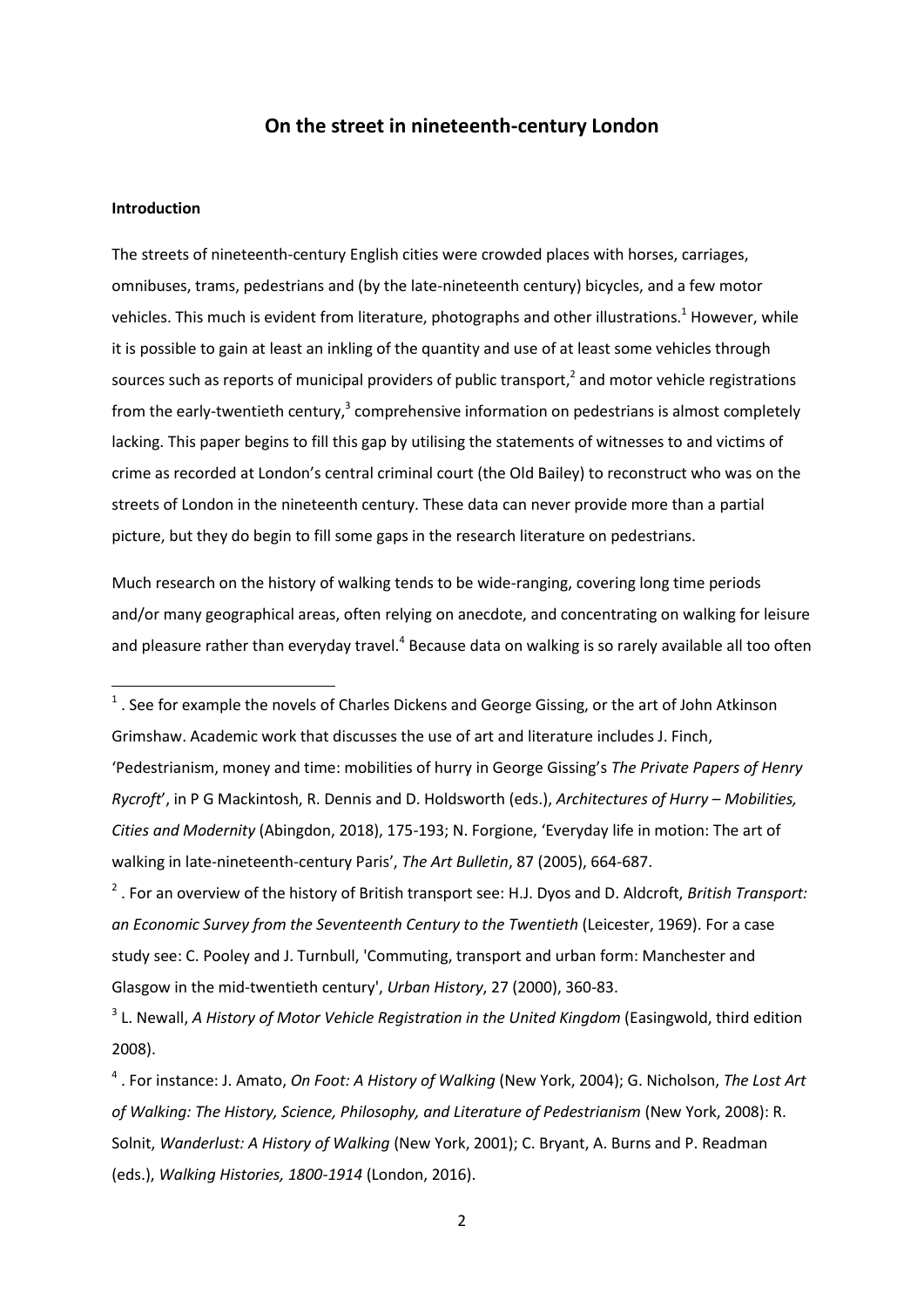## **On the street in nineteenth-century London**

#### **Introduction**

1

The streets of nineteenth-century English cities were crowded places with horses, carriages, omnibuses, trams, pedestrians and (by the late-nineteenth century) bicycles, and a few motor vehicles. This much is evident from literature, photographs and other illustrations.<sup>1</sup> However, while it is possible to gain at least an inkling of the quantity and use of at least some vehicles through sources such as reports of municipal providers of public transport,<sup>2</sup> and motor vehicle registrations from the early-twentieth century,<sup>3</sup> comprehensive information on pedestrians is almost completely lacking. This paper begins to fill this gap by utilising the statements of witnesses to and victims of crime as recorded at London's central criminal court (the Old Bailey) to reconstruct who was on the streets of London in the nineteenth century. These data can never provide more than a partial picture, but they do begin to fill some gaps in the research literature on pedestrians.

Much research on the history of walking tends to be wide-ranging, covering long time periods and/or many geographical areas, often relying on anecdote, and concentrating on walking for leisure and pleasure rather than everyday travel.<sup>4</sup> Because data on walking is so rarely available all too often

 $1$ . See for example the novels of Charles Dickens and George Gissing, or the art of John Atkinson Grimshaw. Academic work that discusses the use of art and literature includes J. Finch, 'Pedestrianism, money and time: mobilities of hurry in George Gissing's *The Private Papers of Henry Rycroft*', in P G Mackintosh, R. Dennis and D. Holdsworth (eds.), *Architectures of Hurry – Mobilities, Cities and Modernity* (Abingdon, 2018), 175-193; N. Forgione, 'Everyday life in motion: The art of walking in late-nineteenth-century Paris', *The Art Bulletin*, 87 (2005), 664-687.

2 . For an overview of the history of British transport see: H.J. Dyos and D. Aldcroft, *British Transport: an Economic Survey from the Seventeenth Century to the Twentieth* (Leicester, 1969). For a case study see: C. Pooley and J. Turnbull, 'Commuting, transport and urban form: Manchester and Glasgow in the mid-twentieth century', *Urban History*, 27 (2000), 360-83.

<sup>3</sup> L. Newall, *A History of Motor Vehicle Registration in the United Kingdom* (Easingwold, third edition 2008).

<sup>4</sup> . For instance: J. Amato, *On Foot: A History of Walking* (New York, 2004); G. Nicholson, *The Lost Art of Walking: The History, Science, Philosophy, and Literature of Pedestrianism* (New York, 2008): R. Solnit, *Wanderlust: A History of Walking* (New York, 2001); C. Bryant, A. Burns and P. Readman (eds.), *Walking Histories, 1800-1914* (London, 2016).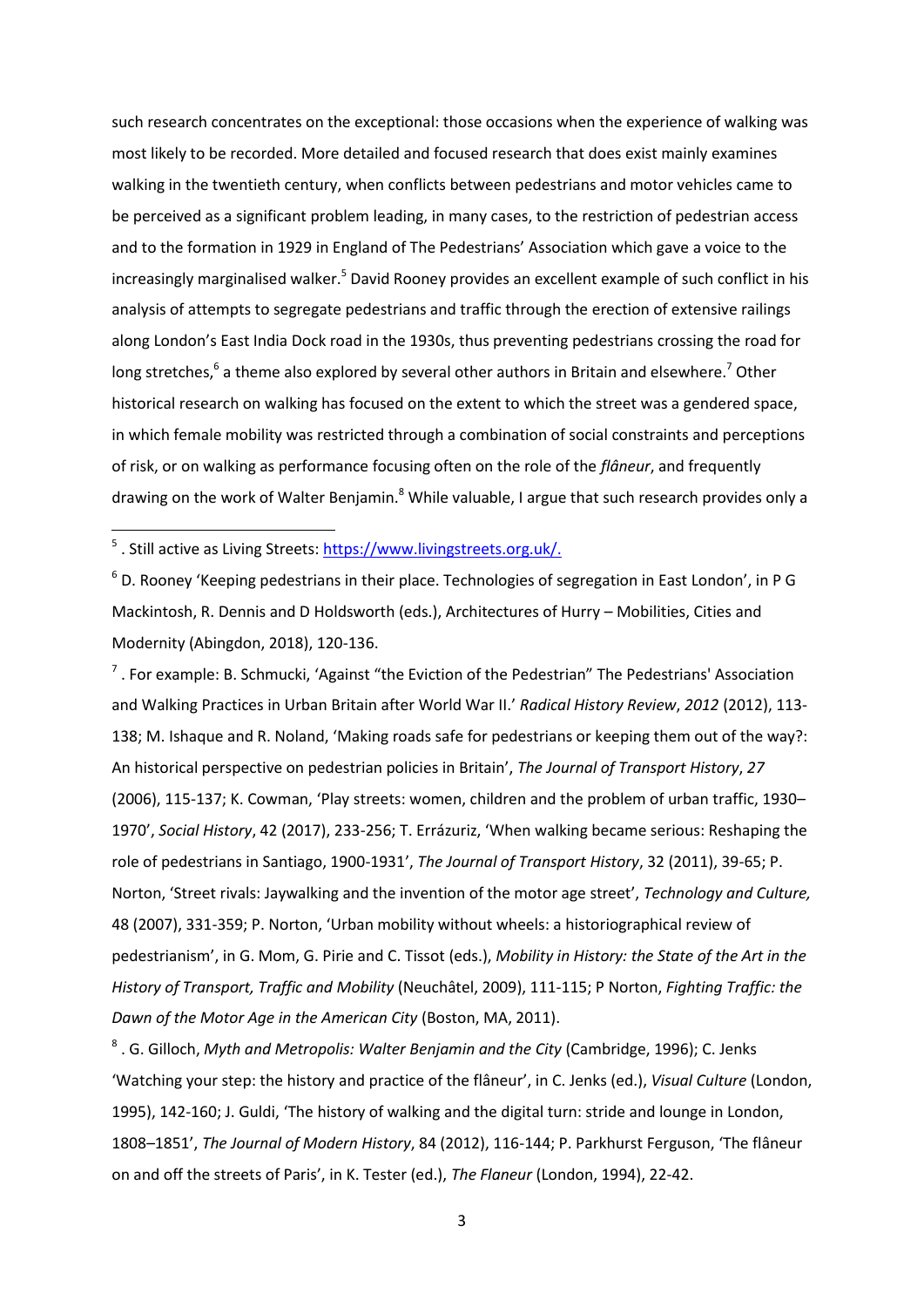such research concentrates on the exceptional: those occasions when the experience of walking was most likely to be recorded. More detailed and focused research that does exist mainly examines walking in the twentieth century, when conflicts between pedestrians and motor vehicles came to be perceived as a significant problem leading, in many cases, to the restriction of pedestrian access and to the formation in 1929 in England of The Pedestrians' Association which gave a voice to the increasingly marginalised walker.<sup>5</sup> David Rooney provides an excellent example of such conflict in his analysis of attempts to segregate pedestrians and traffic through the erection of extensive railings along London's East India Dock road in the 1930s, thus preventing pedestrians crossing the road for long stretches,<sup>6</sup> a theme also explored by several other authors in Britain and elsewhere.<sup>7</sup> Other historical research on walking has focused on the extent to which the street was a gendered space, in which female mobility was restricted through a combination of social constraints and perceptions of risk, or on walking as performance focusing often on the role of the *flâneur*, and frequently drawing on the work of Walter Benjamin.<sup>8</sup> While valuable, I argue that such research provides only a

**.** 

 $7$ . For example: B. Schmucki, 'Against "the Eviction of the Pedestrian" The Pedestrians' Association and Walking Practices in Urban Britain after World War II.' *Radical History Review*, *2012* (2012), 113- 138; M. Ishaque and R. Noland, 'Making roads safe for pedestrians or keeping them out of the way?: An historical perspective on pedestrian policies in Britain', *The Journal of Transport History*, *27* (2006), 115-137; K. Cowman, 'Play streets: women, children and the problem of urban traffic, 1930– 1970', *Social History*, 42 (2017), 233-256; T. Errázuriz, 'When walking became serious: Reshaping the role of pedestrians in Santiago, 1900-1931', *The Journal of Transport History*, 32 (2011), 39-65; P. Norton, 'Street rivals: Jaywalking and the invention of the motor age street', *Technology and Culture,* 48 (2007), 331-359; P. Norton, 'Urban mobility without wheels: a historiographical review of pedestrianism', in G. Mom, G. Pirie and C. Tissot (eds.), *Mobility in History: the State of the Art in the History of Transport, Traffic and Mobility* (Neuchâtel, 2009), 111-115; P Norton, *Fighting Traffic: the Dawn of the Motor Age in the American City* (Boston, MA, 2011).

8 . G. Gilloch, *Myth and Metropolis: Walter Benjamin and the City* (Cambridge, 1996); C. Jenks 'Watching your step: the history and practice of the flâneur', in C. Jenks (ed.), *Visual Culture* (London, 1995), 142-160; J. Guldi, 'The history of walking and the digital turn: stride and lounge in London, 1808–1851', *The Journal of Modern History*, 84 (2012), 116-144; P. Parkhurst Ferguson, 'The flâneur on and off the streets of Paris', in K. Tester (ed.), *The Flaneur* (London, 1994), 22-42.

<sup>&</sup>lt;sup>5</sup>. Still active as Living Streets: [https://www.livingstreets.org.uk/.](https://www.livingstreets.org.uk/)

 $6$  D. Rooney 'Keeping pedestrians in their place. Technologies of segregation in East London', in P G Mackintosh, R. Dennis and D Holdsworth (eds.), Architectures of Hurry – Mobilities, Cities and Modernity (Abingdon, 2018), 120-136.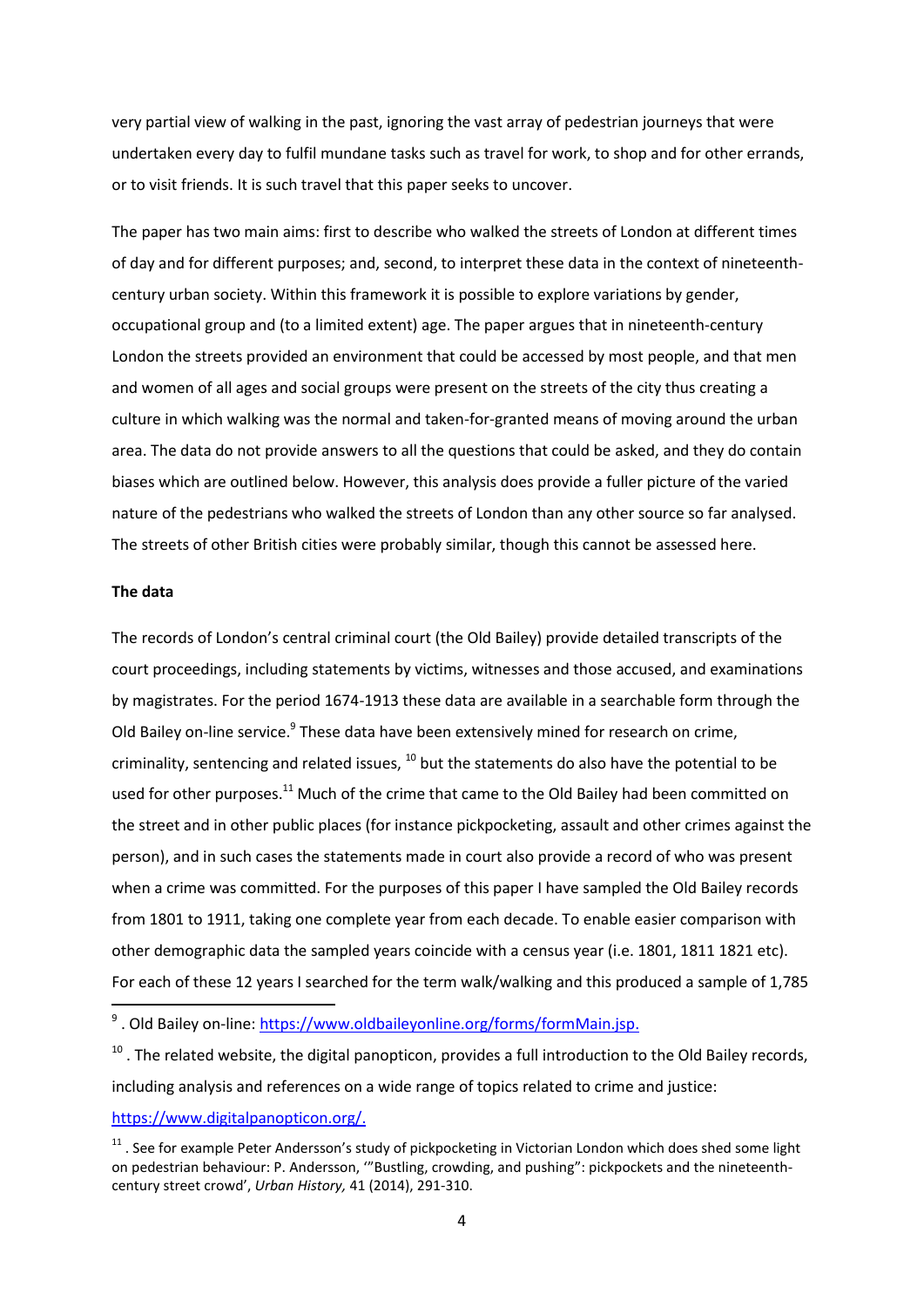very partial view of walking in the past, ignoring the vast array of pedestrian journeys that were undertaken every day to fulfil mundane tasks such as travel for work, to shop and for other errands, or to visit friends. It is such travel that this paper seeks to uncover.

The paper has two main aims: first to describe who walked the streets of London at different times of day and for different purposes; and, second, to interpret these data in the context of nineteenthcentury urban society. Within this framework it is possible to explore variations by gender, occupational group and (to a limited extent) age. The paper argues that in nineteenth-century London the streets provided an environment that could be accessed by most people, and that men and women of all ages and social groups were present on the streets of the city thus creating a culture in which walking was the normal and taken-for-granted means of moving around the urban area. The data do not provide answers to all the questions that could be asked, and they do contain biases which are outlined below. However, this analysis does provide a fuller picture of the varied nature of the pedestrians who walked the streets of London than any other source so far analysed. The streets of other British cities were probably similar, though this cannot be assessed here.

#### **The data**

 $\overline{a}$ 

The records of London's central criminal court (the Old Bailey) provide detailed transcripts of the court proceedings, including statements by victims, witnesses and those accused, and examinations by magistrates. For the period 1674-1913 these data are available in a searchable form through the Old Bailey on-line service.<sup>9</sup> These data have been extensively mined for research on crime, criminality, sentencing and related issues,  $^{10}$  but the statements do also have the potential to be used for other purposes.<sup>11</sup> Much of the crime that came to the Old Bailey had been committed on the street and in other public places (for instance pickpocketing, assault and other crimes against the person), and in such cases the statements made in court also provide a record of who was present when a crime was committed. For the purposes of this paper I have sampled the Old Bailey records from 1801 to 1911, taking one complete year from each decade. To enable easier comparison with other demographic data the sampled years coincide with a census year (i.e. 1801, 1811 1821 etc). For each of these 12 years I searched for the term walk/walking and this produced a sample of 1,785

 $10$ . The related website, the digital panopticon, provides a full introduction to the Old Bailey records, including analysis and references on a wide range of topics related to crime and justice:

### [https://www.digitalpanopticon.org/.](https://www.digitalpanopticon.org/)

<sup>&</sup>lt;sup>9</sup> . Old Bailey on-line: [https://www.oldbaileyonline.org/forms/formMain.jsp.](https://www.oldbaileyonline.org/forms/formMain.jsp)

 $11$ . See for example Peter Andersson's study of pickpocketing in Victorian London which does shed some light on pedestrian behaviour: P. Andersson, '"Bustling, crowding, and pushing": pickpockets and the nineteenthcentury street crowd', *Urban History,* 41 (2014), 291-310.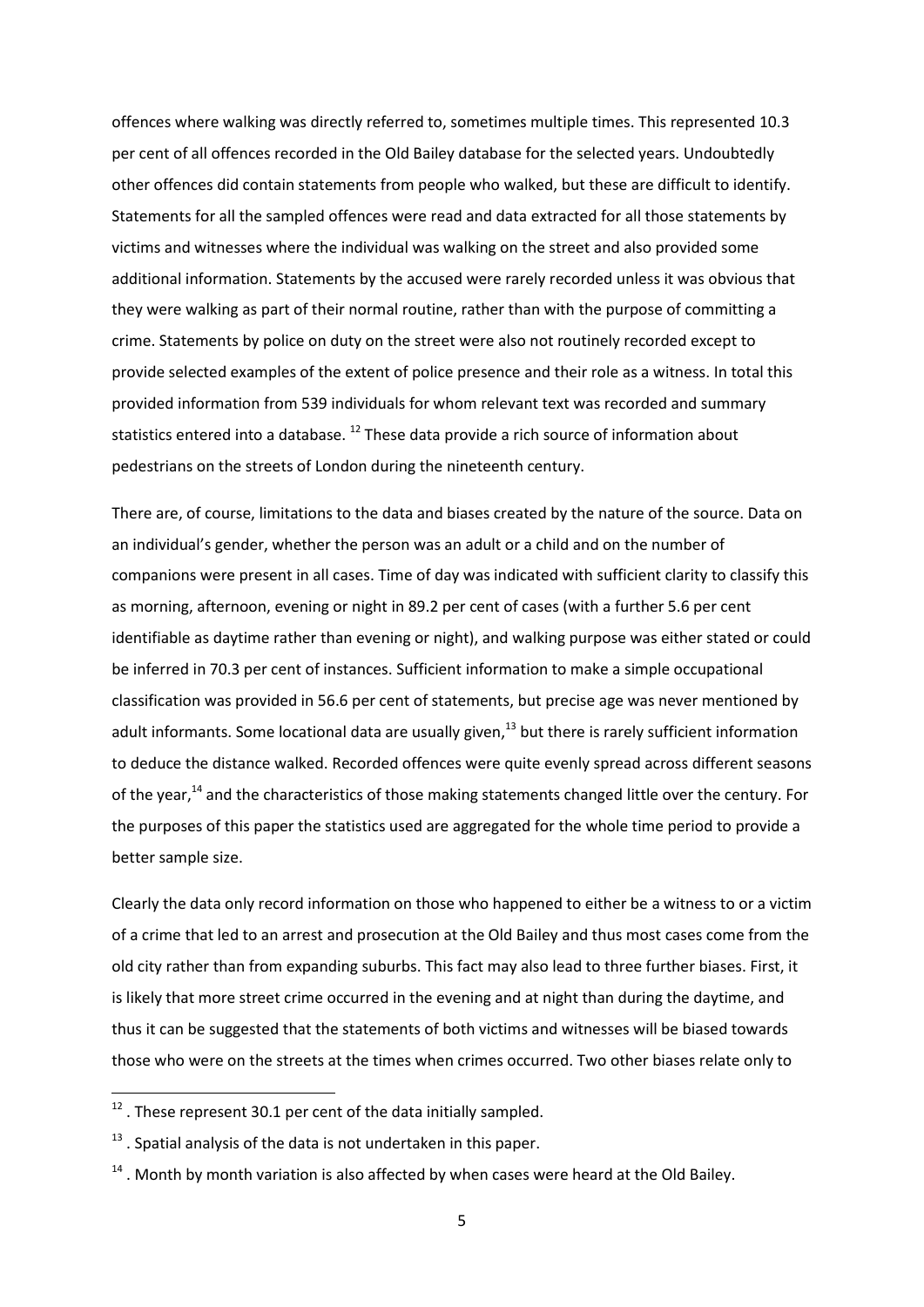offences where walking was directly referred to, sometimes multiple times. This represented 10.3 per cent of all offences recorded in the Old Bailey database for the selected years. Undoubtedly other offences did contain statements from people who walked, but these are difficult to identify. Statements for all the sampled offences were read and data extracted for all those statements by victims and witnesses where the individual was walking on the street and also provided some additional information. Statements by the accused were rarely recorded unless it was obvious that they were walking as part of their normal routine, rather than with the purpose of committing a crime. Statements by police on duty on the street were also not routinely recorded except to provide selected examples of the extent of police presence and their role as a witness. In total this provided information from 539 individuals for whom relevant text was recorded and summary statistics entered into a database.  $^{12}$  These data provide a rich source of information about pedestrians on the streets of London during the nineteenth century.

There are, of course, limitations to the data and biases created by the nature of the source. Data on an individual's gender, whether the person was an adult or a child and on the number of companions were present in all cases. Time of day was indicated with sufficient clarity to classify this as morning, afternoon, evening or night in 89.2 per cent of cases (with a further 5.6 per cent identifiable as daytime rather than evening or night), and walking purpose was either stated or could be inferred in 70.3 per cent of instances. Sufficient information to make a simple occupational classification was provided in 56.6 per cent of statements, but precise age was never mentioned by adult informants. Some locational data are usually given, $^{13}$  but there is rarely sufficient information to deduce the distance walked. Recorded offences were quite evenly spread across different seasons of the year,<sup>14</sup> and the characteristics of those making statements changed little over the century. For the purposes of this paper the statistics used are aggregated for the whole time period to provide a better sample size.

Clearly the data only record information on those who happened to either be a witness to or a victim of a crime that led to an arrest and prosecution at the Old Bailey and thus most cases come from the old city rather than from expanding suburbs. This fact may also lead to three further biases. First, it is likely that more street crime occurred in the evening and at night than during the daytime, and thus it can be suggested that the statements of both victims and witnesses will be biased towards those who were on the streets at the times when crimes occurred. Two other biases relate only to

 $12$ . These represent 30.1 per cent of the data initially sampled.

 $13$ . Spatial analysis of the data is not undertaken in this paper.

 $14$ . Month by month variation is also affected by when cases were heard at the Old Bailey.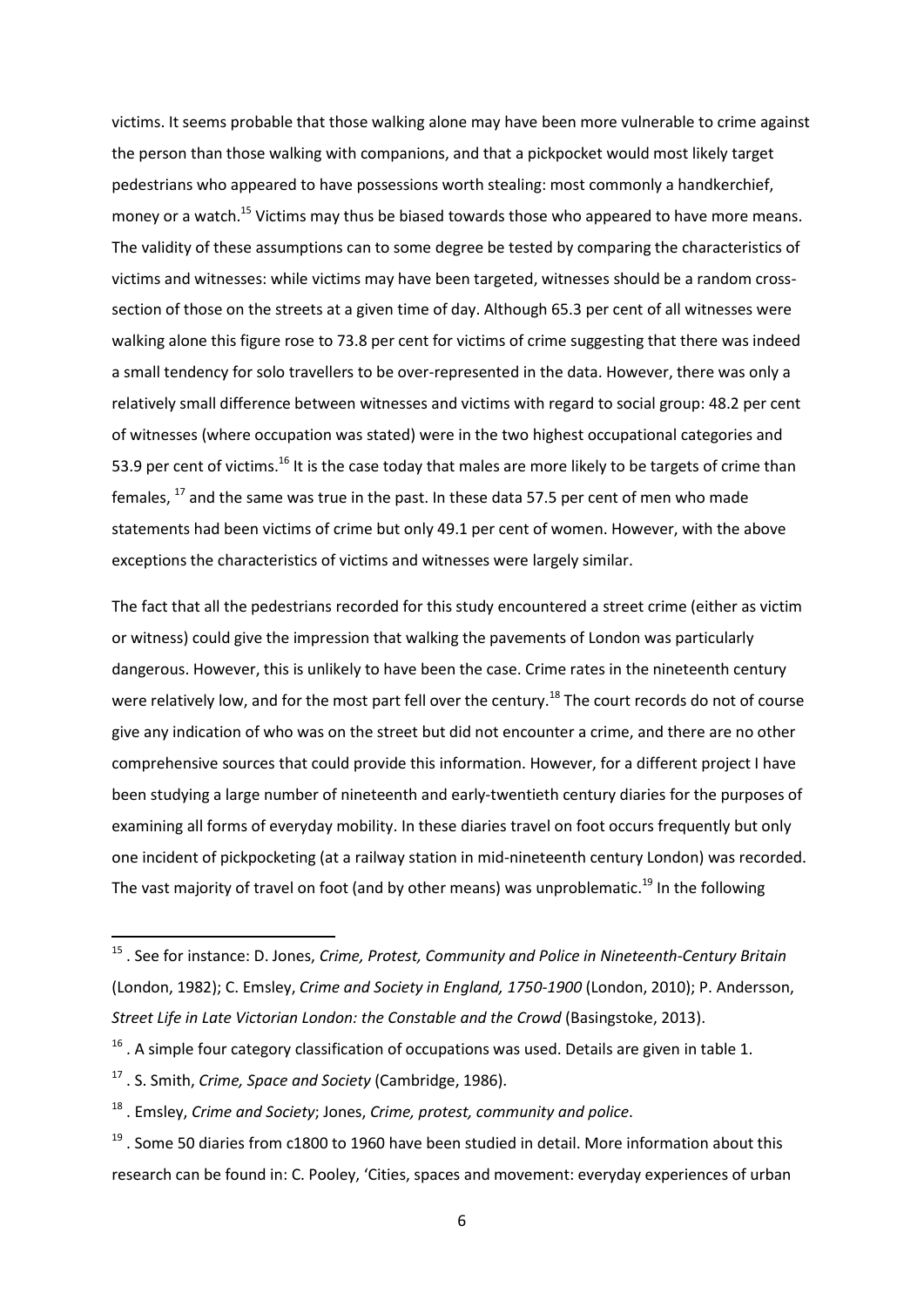victims. It seems probable that those walking alone may have been more vulnerable to crime against the person than those walking with companions, and that a pickpocket would most likely target pedestrians who appeared to have possessions worth stealing: most commonly a handkerchief, money or a watch.<sup>15</sup> Victims may thus be biased towards those who appeared to have more means. The validity of these assumptions can to some degree be tested by comparing the characteristics of victims and witnesses: while victims may have been targeted, witnesses should be a random crosssection of those on the streets at a given time of day. Although 65.3 per cent of all witnesses were walking alone this figure rose to 73.8 per cent for victims of crime suggesting that there was indeed a small tendency for solo travellers to be over-represented in the data. However, there was only a relatively small difference between witnesses and victims with regard to social group: 48.2 per cent of witnesses (where occupation was stated) were in the two highest occupational categories and 53.9 per cent of victims.<sup>16</sup> It is the case today that males are more likely to be targets of crime than females,  $^{17}$  and the same was true in the past. In these data 57.5 per cent of men who made statements had been victims of crime but only 49.1 per cent of women. However, with the above exceptions the characteristics of victims and witnesses were largely similar.

The fact that all the pedestrians recorded for this study encountered a street crime (either as victim or witness) could give the impression that walking the pavements of London was particularly dangerous. However, this is unlikely to have been the case. Crime rates in the nineteenth century were relatively low, and for the most part fell over the century.<sup>18</sup> The court records do not of course give any indication of who was on the street but did not encounter a crime, and there are no other comprehensive sources that could provide this information. However, for a different project I have been studying a large number of nineteenth and early-twentieth century diaries for the purposes of examining all forms of everyday mobility. In these diaries travel on foot occurs frequently but only one incident of pickpocketing (at a railway station in mid-nineteenth century London) was recorded. The vast majority of travel on foot (and by other means) was unproblematic.<sup>19</sup> In the following

- <sup>18</sup> . Emsley, *Crime and Society*; Jones, *Crime, protest, community and police*.
- $19$ . Some 50 diaries from c1800 to 1960 have been studied in detail. More information about this research can be found in: C. Pooley, 'Cities, spaces and movement: everyday experiences of urban

<sup>15</sup> . See for instance: D. Jones, *Crime, Protest, Community and Police in Nineteenth-Century Britain* (London, 1982); C. Emsley, *Crime and Society in England, 1750-1900* (London, 2010); P. Andersson, *Street Life in Late Victorian London: the Constable and the Crowd* (Basingstoke, 2013).

 $16$ . A simple four category classification of occupations was used. Details are given in table 1.

<sup>17</sup> . S. Smith, *Crime, Space and Society* (Cambridge, 1986).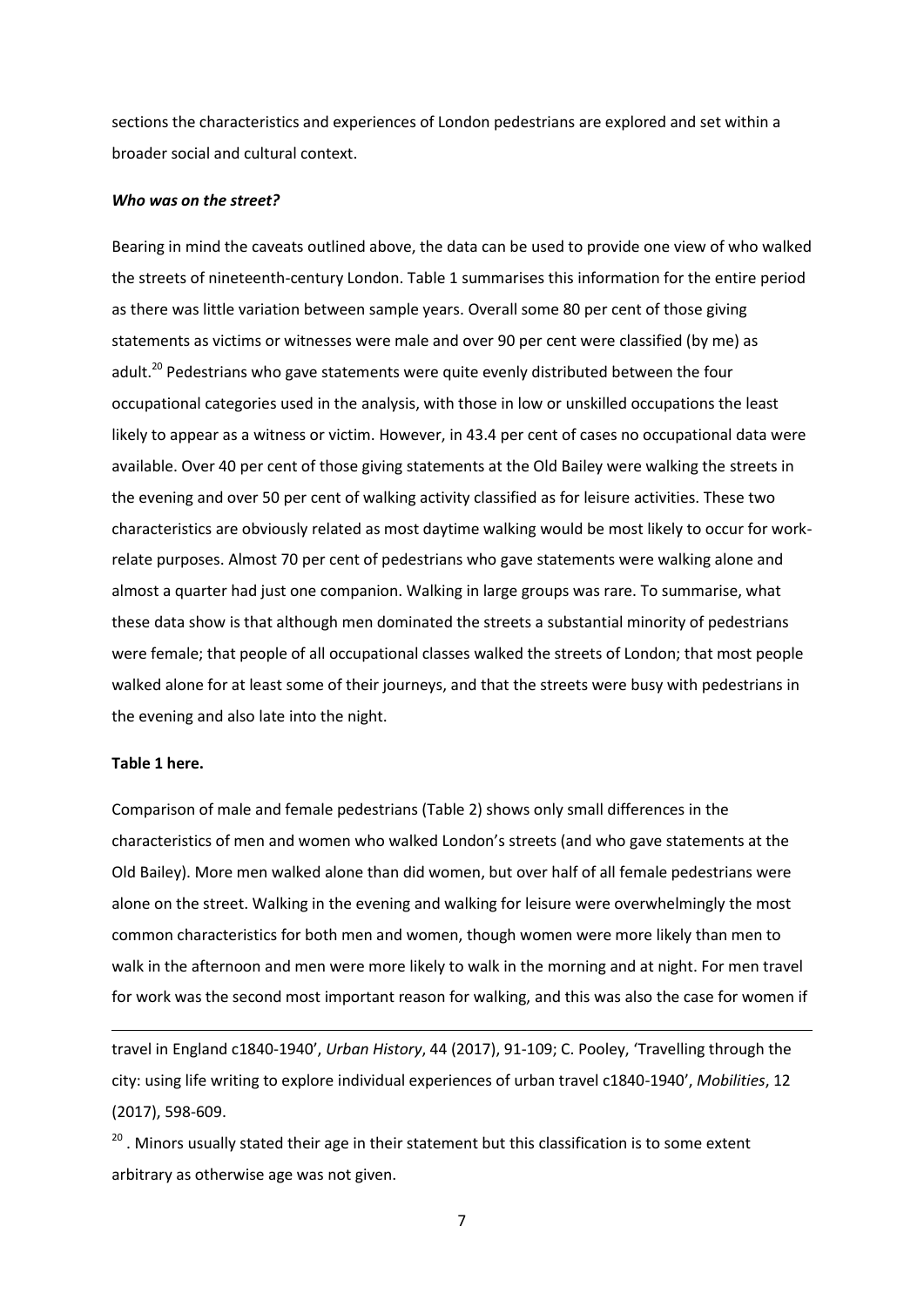sections the characteristics and experiences of London pedestrians are explored and set within a broader social and cultural context.

#### *Who was on the street?*

Bearing in mind the caveats outlined above, the data can be used to provide one view of who walked the streets of nineteenth-century London. Table 1 summarises this information for the entire period as there was little variation between sample years. Overall some 80 per cent of those giving statements as victims or witnesses were male and over 90 per cent were classified (by me) as adult.<sup>20</sup> Pedestrians who gave statements were quite evenly distributed between the four occupational categories used in the analysis, with those in low or unskilled occupations the least likely to appear as a witness or victim. However, in 43.4 per cent of cases no occupational data were available. Over 40 per cent of those giving statements at the Old Bailey were walking the streets in the evening and over 50 per cent of walking activity classified as for leisure activities. These two characteristics are obviously related as most daytime walking would be most likely to occur for workrelate purposes. Almost 70 per cent of pedestrians who gave statements were walking alone and almost a quarter had just one companion. Walking in large groups was rare. To summarise, what these data show is that although men dominated the streets a substantial minority of pedestrians were female; that people of all occupational classes walked the streets of London; that most people walked alone for at least some of their journeys, and that the streets were busy with pedestrians in the evening and also late into the night.

#### **Table 1 here.**

**.** 

Comparison of male and female pedestrians (Table 2) shows only small differences in the characteristics of men and women who walked London's streets (and who gave statements at the Old Bailey). More men walked alone than did women, but over half of all female pedestrians were alone on the street. Walking in the evening and walking for leisure were overwhelmingly the most common characteristics for both men and women, though women were more likely than men to walk in the afternoon and men were more likely to walk in the morning and at night. For men travel for work was the second most important reason for walking, and this was also the case for women if

travel in England c1840-1940', *Urban History*, 44 (2017), 91-109; C. Pooley, 'Travelling through the city: using life writing to explore individual experiences of urban travel c1840-1940', *Mobilities*, 12 (2017), 598-609.

<sup>20</sup>. Minors usually stated their age in their statement but this classification is to some extent arbitrary as otherwise age was not given.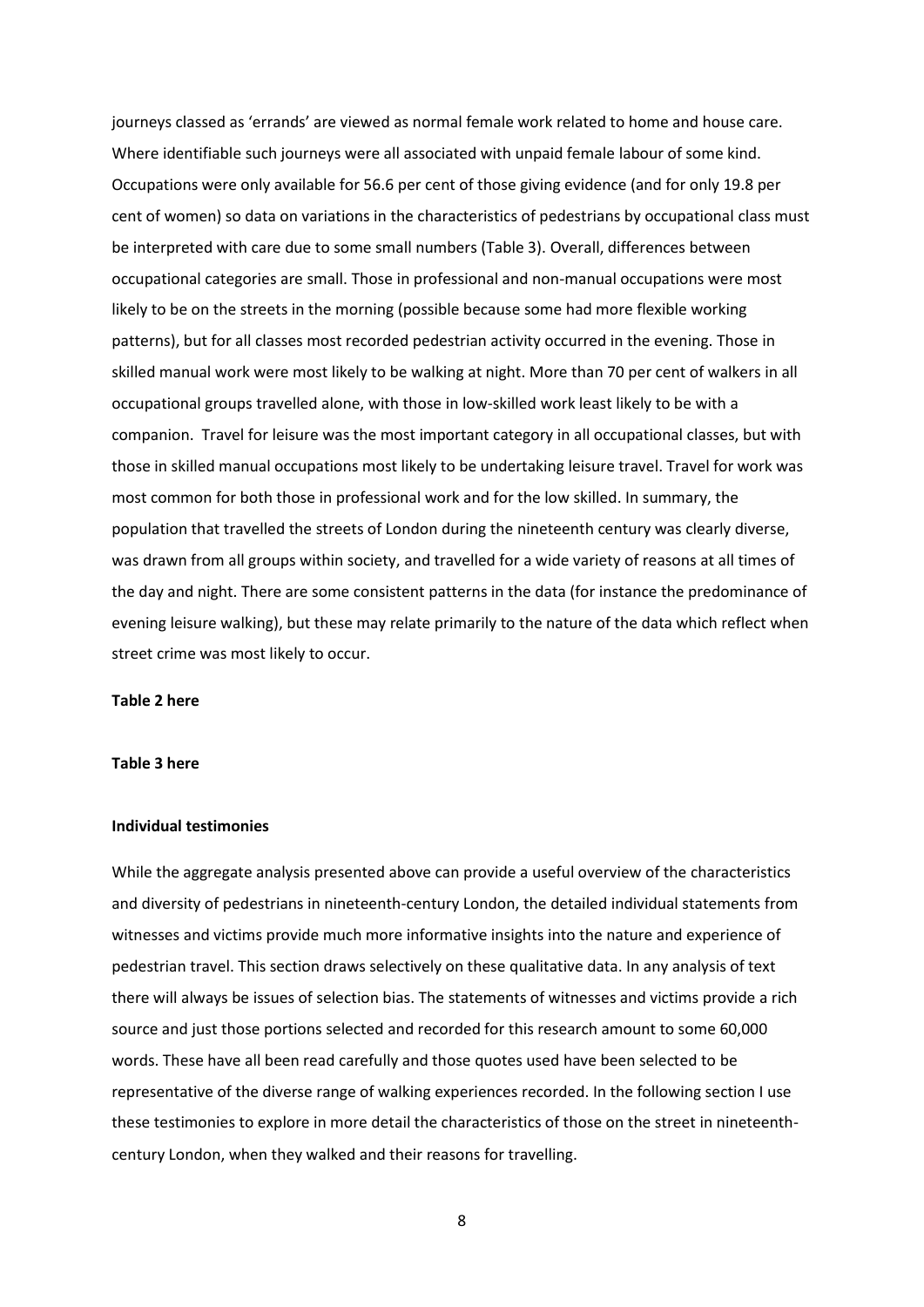journeys classed as 'errands' are viewed as normal female work related to home and house care. Where identifiable such journeys were all associated with unpaid female labour of some kind. Occupations were only available for 56.6 per cent of those giving evidence (and for only 19.8 per cent of women) so data on variations in the characteristics of pedestrians by occupational class must be interpreted with care due to some small numbers (Table 3). Overall, differences between occupational categories are small. Those in professional and non-manual occupations were most likely to be on the streets in the morning (possible because some had more flexible working patterns), but for all classes most recorded pedestrian activity occurred in the evening. Those in skilled manual work were most likely to be walking at night. More than 70 per cent of walkers in all occupational groups travelled alone, with those in low-skilled work least likely to be with a companion. Travel for leisure was the most important category in all occupational classes, but with those in skilled manual occupations most likely to be undertaking leisure travel. Travel for work was most common for both those in professional work and for the low skilled. In summary, the population that travelled the streets of London during the nineteenth century was clearly diverse, was drawn from all groups within society, and travelled for a wide variety of reasons at all times of the day and night. There are some consistent patterns in the data (for instance the predominance of evening leisure walking), but these may relate primarily to the nature of the data which reflect when street crime was most likely to occur.

#### **Table 2 here**

#### **Table 3 here**

#### **Individual testimonies**

While the aggregate analysis presented above can provide a useful overview of the characteristics and diversity of pedestrians in nineteenth-century London, the detailed individual statements from witnesses and victims provide much more informative insights into the nature and experience of pedestrian travel. This section draws selectively on these qualitative data. In any analysis of text there will always be issues of selection bias. The statements of witnesses and victims provide a rich source and just those portions selected and recorded for this research amount to some 60,000 words. These have all been read carefully and those quotes used have been selected to be representative of the diverse range of walking experiences recorded. In the following section I use these testimonies to explore in more detail the characteristics of those on the street in nineteenthcentury London, when they walked and their reasons for travelling.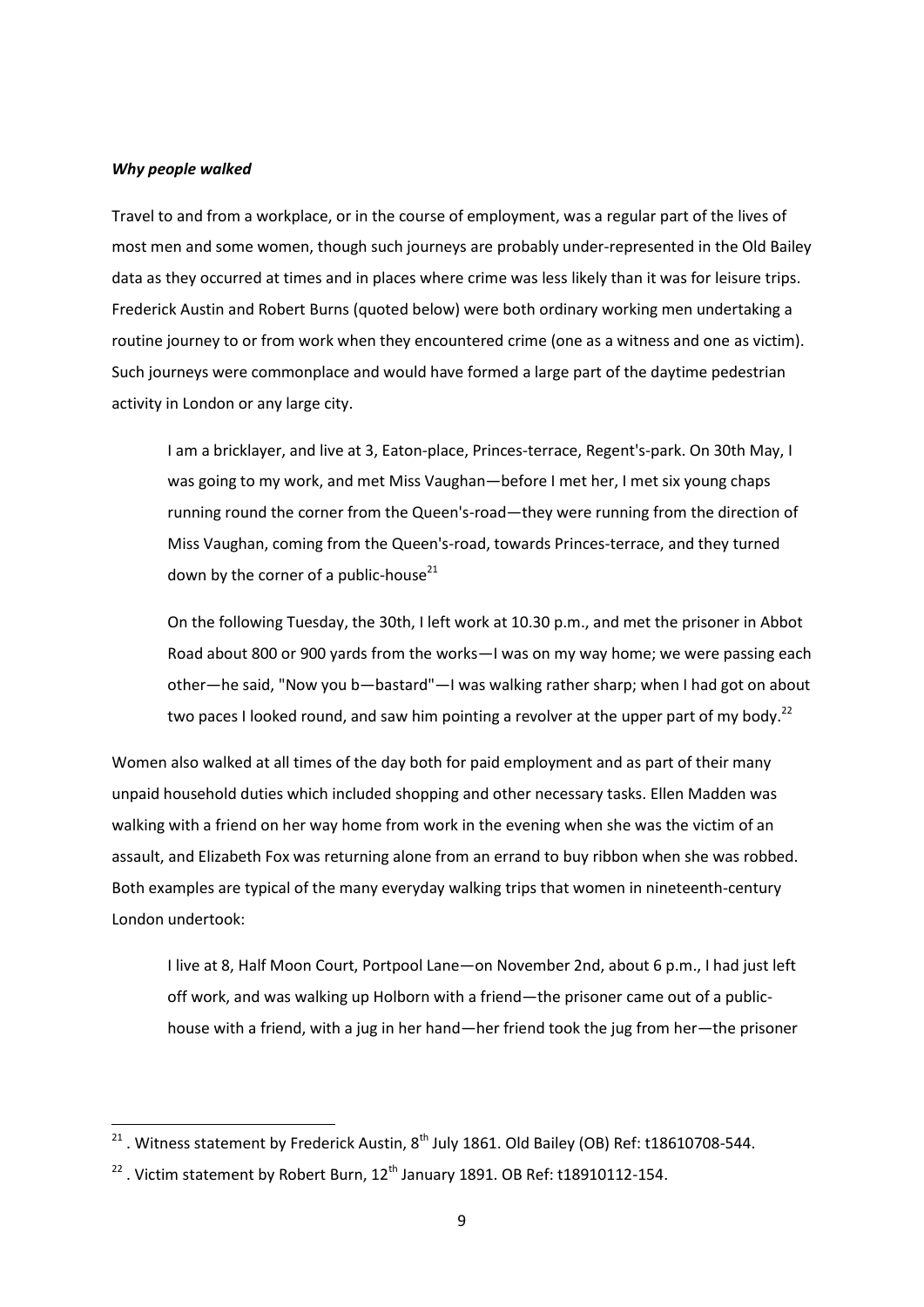#### *Why people walked*

**.** 

Travel to and from a workplace, or in the course of employment, was a regular part of the lives of most men and some women, though such journeys are probably under-represented in the Old Bailey data as they occurred at times and in places where crime was less likely than it was for leisure trips. Frederick Austin and Robert Burns (quoted below) were both ordinary working men undertaking a routine journey to or from work when they encountered crime (one as a witness and one as victim). Such journeys were commonplace and would have formed a large part of the daytime pedestrian activity in London or any large city.

I am a bricklayer, and live at 3, Eaton-place, Princes-terrace, Regent's-park. On 30th May, I was going to my work, and met Miss Vaughan—before I met her, I met six young chaps running round the corner from the Queen's-road—they were running from the direction of Miss Vaughan, coming from the Queen's-road, towards Princes-terrace, and they turned down by the corner of a public-house<sup>21</sup>

On the following Tuesday, the 30th, I left work at 10.30 p.m., and met the prisoner in Abbot Road about 800 or 900 yards from the works—I was on my way home; we were passing each other—he said, "Now you b—bastard"—I was walking rather sharp; when I had got on about two paces I looked round, and saw him pointing a revolver at the upper part of my body.<sup>22</sup>

Women also walked at all times of the day both for paid employment and as part of their many unpaid household duties which included shopping and other necessary tasks. Ellen Madden was walking with a friend on her way home from work in the evening when she was the victim of an assault, and Elizabeth Fox was returning alone from an errand to buy ribbon when she was robbed. Both examples are typical of the many everyday walking trips that women in nineteenth-century London undertook:

I live at 8, Half Moon Court, Portpool Lane—on November 2nd, about 6 p.m., I had just left off work, and was walking up Holborn with a friend—the prisoner came out of a publichouse with a friend, with a jug in her hand—her friend took the jug from her—the prisoner

 $21$ . Witness statement by Frederick Austin, 8<sup>th</sup> July 1861. Old Bailey (OB) Ref: t18610708-544.

 $^{22}$ . Victim statement by Robert Burn, 12<sup>th</sup> January 1891. OB Ref: t18910112-154.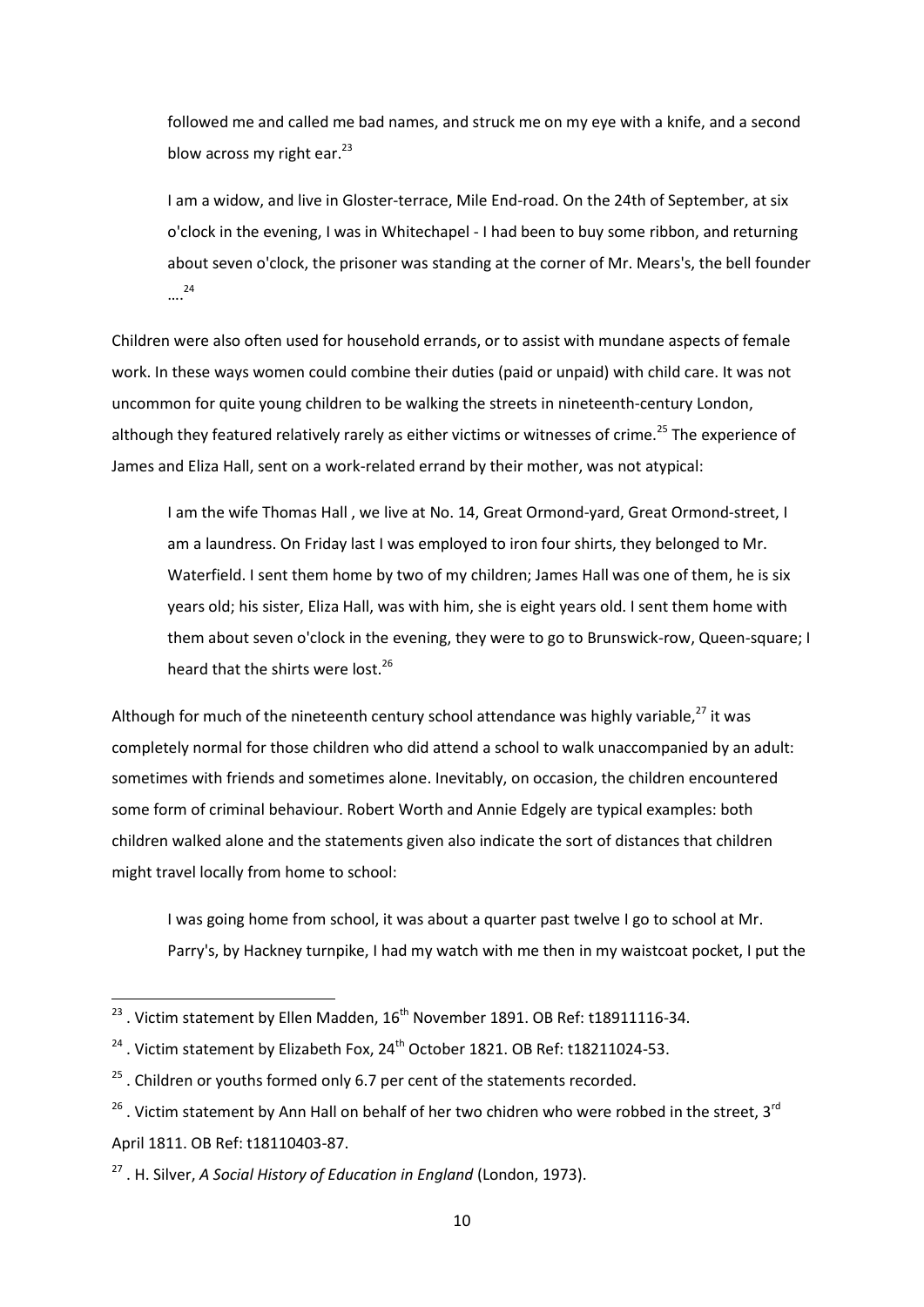followed me and called me bad names, and struck me on my eye with a knife, and a second blow across my right ear.<sup>23</sup>

I am a widow, and live in Gloster-terrace, Mile End-road. On the 24th of September, at six o'clock in the evening, I was in Whitechapel - I had been to buy some ribbon, and returning about seven o'clock, the prisoner was standing at the corner of Mr. Mears's, the bell founder …. 24

Children were also often used for household errands, or to assist with mundane aspects of female work. In these ways women could combine their duties (paid or unpaid) with child care. It was not uncommon for quite young children to be walking the streets in nineteenth-century London, although they featured relatively rarely as either victims or witnesses of crime.<sup>25</sup> The experience of James and Eliza Hall, sent on a work-related errand by their mother, was not atypical:

I am the wife Thomas Hall , we live at No. 14, Great Ormond-yard, Great Ormond-street, I am a laundress. On Friday last I was employed to iron four shirts, they belonged to Mr. Waterfield. I sent them home by two of my children; James Hall was one of them, he is six years old; his sister, Eliza Hall, was with him, she is eight years old. I sent them home with them about seven o'clock in the evening, they were to go to Brunswick-row, Queen-square; I heard that the shirts were lost.<sup>26</sup>

Although for much of the nineteenth century school attendance was highly variable, $^{27}$  it was completely normal for those children who did attend a school to walk unaccompanied by an adult: sometimes with friends and sometimes alone. Inevitably, on occasion, the children encountered some form of criminal behaviour. Robert Worth and Annie Edgely are typical examples: both children walked alone and the statements given also indicate the sort of distances that children might travel locally from home to school:

I was going home from school, it was about a quarter past twelve I go to school at Mr. Parry's, by Hackney turnpike, I had my watch with me then in my waistcoat pocket, I put the

 $^{23}$ . Victim statement by Ellen Madden,  $16^{th}$  November 1891. OB Ref: t18911116-34.

 $24$ . Victim statement by Elizabeth Fox,  $24<sup>th</sup>$  October 1821, OB Ref: t18211024-53.

 $25$ . Children or youths formed only 6.7 per cent of the statements recorded.

 $26$ . Victim statement by Ann Hall on behalf of her two chidren who were robbed in the street, 3<sup>rd</sup> April 1811. OB Ref: t18110403-87.

<sup>27</sup> . H. Silver, *A Social History of Education in England* (London, 1973).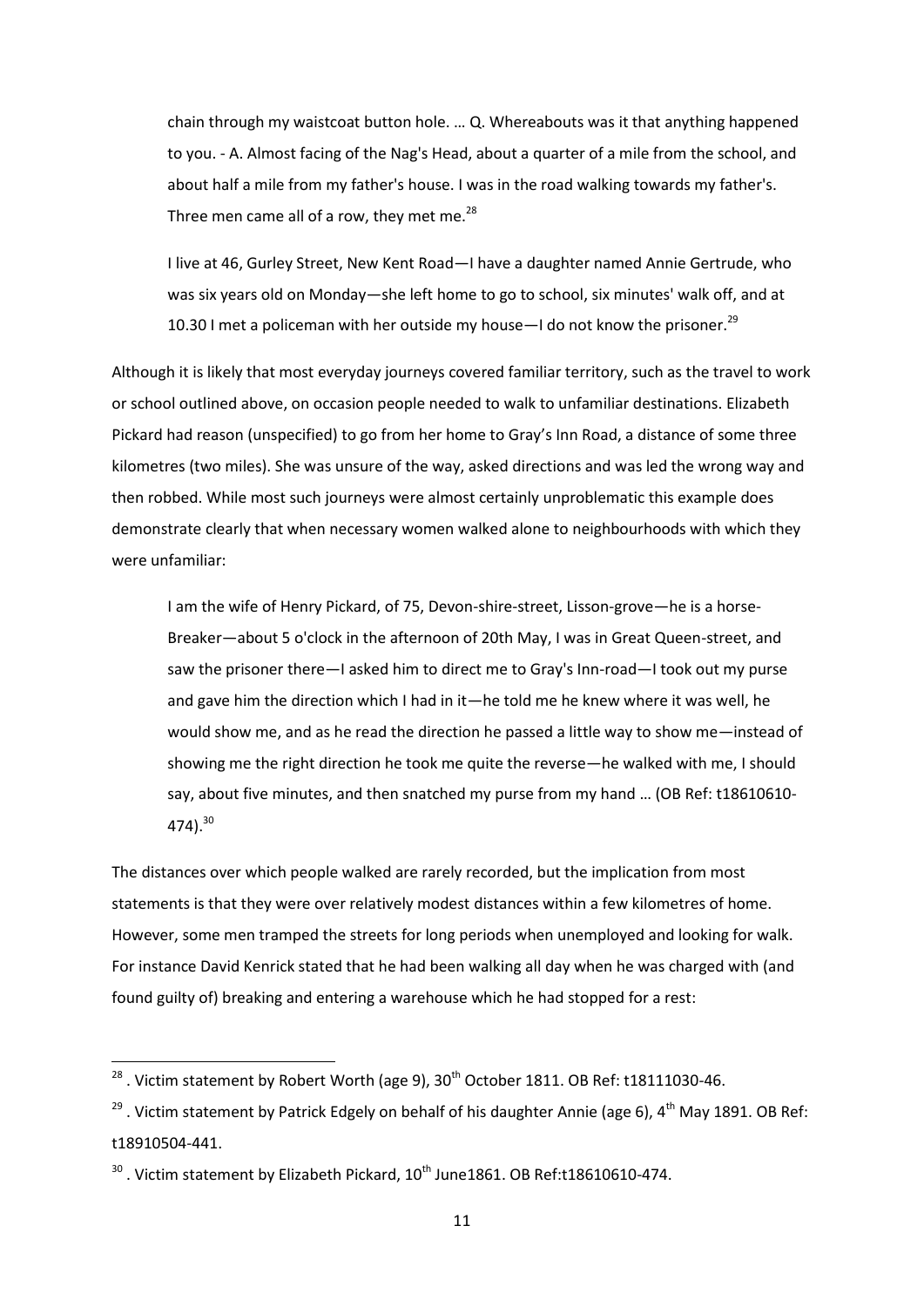chain through my waistcoat button hole. … Q. Whereabouts was it that anything happened to you. - A. Almost facing of the Nag's Head, about a quarter of a mile from the school, and about half a mile from my father's house. I was in the road walking towards my father's. Three men came all of a row, they met me. $^{28}$ 

I live at 46, Gurley Street, New Kent Road—I have a daughter named Annie Gertrude, who was six years old on Monday—she left home to go to school, six minutes' walk off, and at 10.30 I met a policeman with her outside my house  $-1$  do not know the prisoner.<sup>29</sup>

Although it is likely that most everyday journeys covered familiar territory, such as the travel to work or school outlined above, on occasion people needed to walk to unfamiliar destinations. Elizabeth Pickard had reason (unspecified) to go from her home to Gray's Inn Road, a distance of some three kilometres (two miles). She was unsure of the way, asked directions and was led the wrong way and then robbed. While most such journeys were almost certainly unproblematic this example does demonstrate clearly that when necessary women walked alone to neighbourhoods with which they were unfamiliar:

I am the wife of Henry Pickard, of 75, Devon-shire-street, Lisson-grove—he is a horse-Breaker—about 5 o'clock in the afternoon of 20th May, I was in Great Queen-street, and saw the prisoner there—I asked him to direct me to Gray's Inn-road—I took out my purse and gave him the direction which I had in it—he told me he knew where it was well, he would show me, and as he read the direction he passed a little way to show me—instead of showing me the right direction he took me quite the reverse—he walked with me, I should say, about five minutes, and then snatched my purse from my hand … (OB Ref: t18610610- 474).<sup>30</sup>

The distances over which people walked are rarely recorded, but the implication from most statements is that they were over relatively modest distances within a few kilometres of home. However, some men tramped the streets for long periods when unemployed and looking for walk. For instance David Kenrick stated that he had been walking all day when he was charged with (and found guilty of) breaking and entering a warehouse which he had stopped for a rest:

 $^{28}$ . Victim statement by Robert Worth (age 9),  $30<sup>th</sup>$  October 1811, OB Ref: t18111030-46.

 $29$ . Victim statement by Patrick Edgely on behalf of his daughter Annie (age 6),  $4<sup>th</sup>$  May 1891. OB Ref: t18910504-441.

 $30$ . Victim statement by Elizabeth Pickard,  $10^{th}$  June 1861. OB Ref:t18610610-474.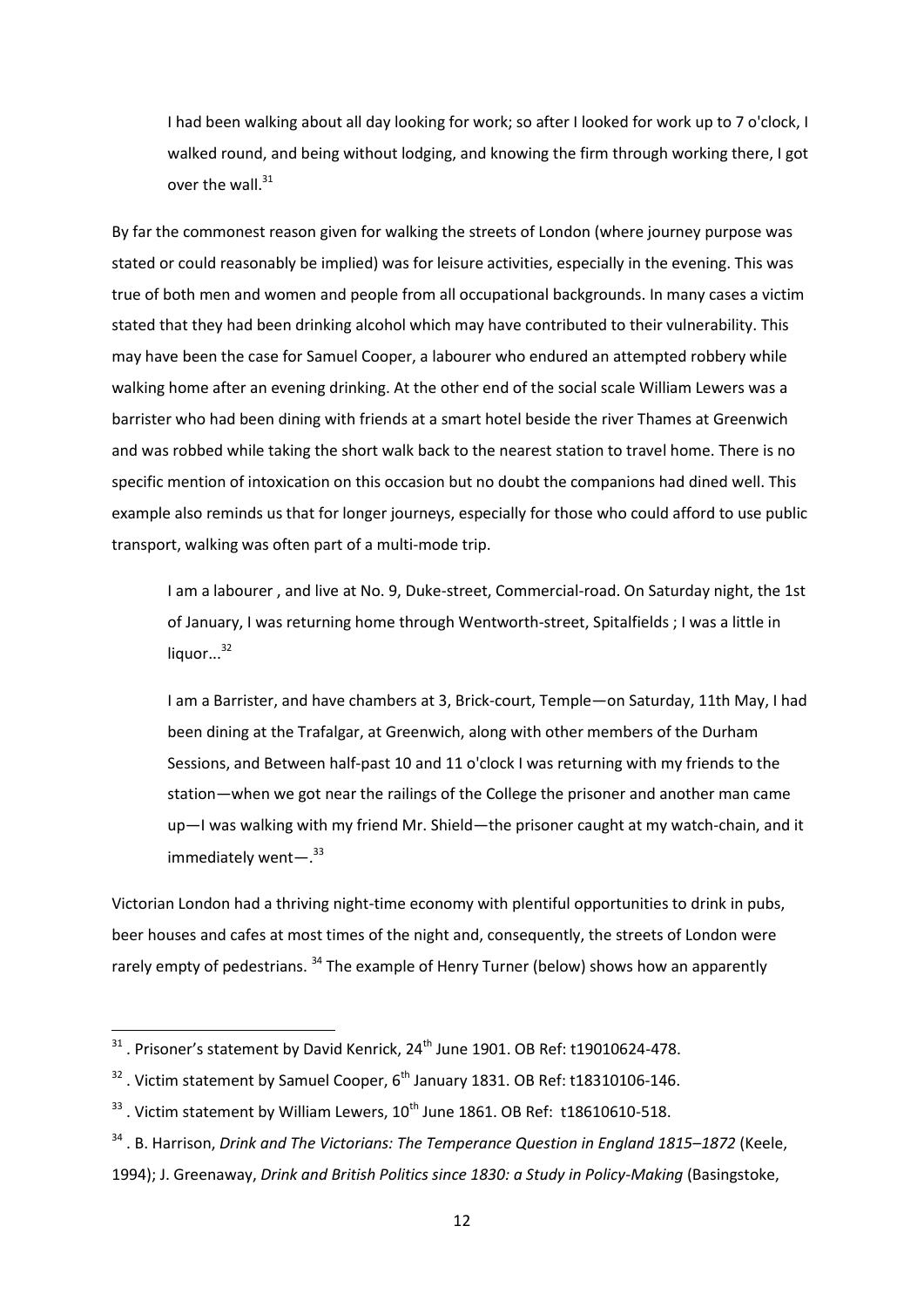I had been walking about all day looking for work; so after I looked for work up to 7 o'clock, I walked round, and being without lodging, and knowing the firm through working there, I got over the wall. $31$ 

By far the commonest reason given for walking the streets of London (where journey purpose was stated or could reasonably be implied) was for leisure activities, especially in the evening. This was true of both men and women and people from all occupational backgrounds. In many cases a victim stated that they had been drinking alcohol which may have contributed to their vulnerability. This may have been the case for Samuel Cooper, a labourer who endured an attempted robbery while walking home after an evening drinking. At the other end of the social scale William Lewers was a barrister who had been dining with friends at a smart hotel beside the river Thames at Greenwich and was robbed while taking the short walk back to the nearest station to travel home. There is no specific mention of intoxication on this occasion but no doubt the companions had dined well. This example also reminds us that for longer journeys, especially for those who could afford to use public transport, walking was often part of a multi-mode trip.

I am a labourer , and live at No. 9, Duke-street, Commercial-road. On Saturday night, the 1st of January, I was returning home through Wentworth-street, Spitalfields ; I was a little in liquor...<sup>32</sup>

I am a Barrister, and have chambers at 3, Brick-court, Temple—on Saturday, 11th May, I had been dining at the Trafalgar, at Greenwich, along with other members of the Durham Sessions, and Between half-past 10 and 11 o'clock I was returning with my friends to the station—when we got near the railings of the College the prisoner and another man came up—I was walking with my friend Mr. Shield—the prisoner caught at my watch-chain, and it immediately went—. 33

Victorian London had a thriving night-time economy with plentiful opportunities to drink in pubs, beer houses and cafes at most times of the night and, consequently, the streets of London were rarely empty of pedestrians. <sup>34</sup> The example of Henry Turner (below) shows how an apparently

 $31$  . Prisoner's statement by David Kenrick, 24<sup>th</sup> June 1901. OB Ref: t19010624-478.

 $32$ . Victim statement by Samuel Cooper,  $6<sup>th</sup>$  January 1831, OB Ref: t18310106-146.

 $33$ . Victim statement by William Lewers,  $10^{th}$  June 1861. OB Ref: t18610610-518.

<sup>34</sup> . B. Harrison, *Drink and The Victorians: The Temperance Question in England 1815–1872* (Keele, 1994); J. Greenaway, *Drink and British Politics since 1830: a Study in Policy-Making* (Basingstoke,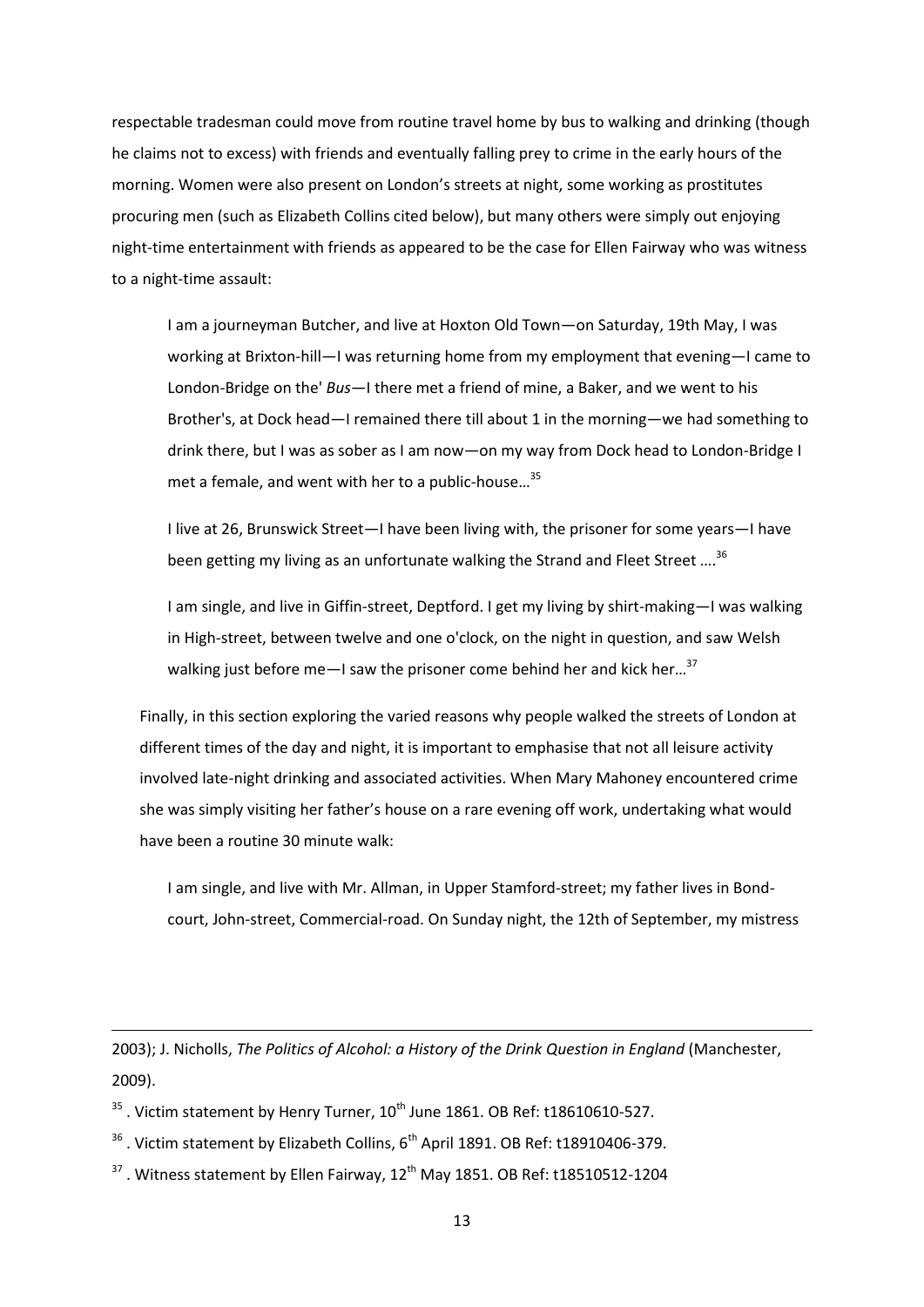respectable tradesman could move from routine travel home by bus to walking and drinking (though he claims not to excess) with friends and eventually falling prey to crime in the early hours of the morning. Women were also present on London's streets at night, some working as prostitutes procuring men (such as Elizabeth Collins cited below), but many others were simply out enjoying night-time entertainment with friends as appeared to be the case for Ellen Fairway who was witness to a night-time assault:

I am a journeyman Butcher, and live at Hoxton Old Town—on Saturday, 19th May, I was working at Brixton-hill—I was returning home from my employment that evening—I came to London-Bridge on the' *Bus*—I there met a friend of mine, a Baker, and we went to his Brother's, at Dock head—I remained there till about 1 in the morning—we had something to drink there, but I was as sober as I am now—on my way from Dock head to London-Bridge I met a female, and went with her to a public-house...<sup>35</sup>

I live at 26, Brunswick Street—I have been living with, the prisoner for some years—I have been getting my living as an unfortunate walking the Strand and Fleet Street ....<sup>36</sup>

I am single, and live in Giffin-street, Deptford. I get my living by shirt-making—I was walking in High-street, between twelve and one o'clock, on the night in question, and saw Welsh walking just before me—I saw the prisoner come behind her and kick her...<sup>37</sup>

Finally, in this section exploring the varied reasons why people walked the streets of London at different times of the day and night, it is important to emphasise that not all leisure activity involved late-night drinking and associated activities. When Mary Mahoney encountered crime she was simply visiting her father's house on a rare evening off work, undertaking what would have been a routine 30 minute walk:

I am single, and live with Mr. Allman, in Upper Stamford-street; my father lives in Bondcourt, John-street, Commercial-road. On Sunday night, the 12th of September, my mistress

2003); J. Nicholls, *The Politics of Alcohol: a History of the Drink Question in England* (Manchester, 2009).

 $35$ . Victim statement by Henry Turner,  $10^{th}$  June 1861. OB Ref: t18610610-527.

**.** 

 $36$ . Victim statement by Elizabeth Collins,  $6<sup>th</sup>$  April 1891. OB Ref: t18910406-379.

 $37$ . Witness statement by Ellen Fairway,  $12<sup>th</sup>$  May 1851. OB Ref: t18510512-1204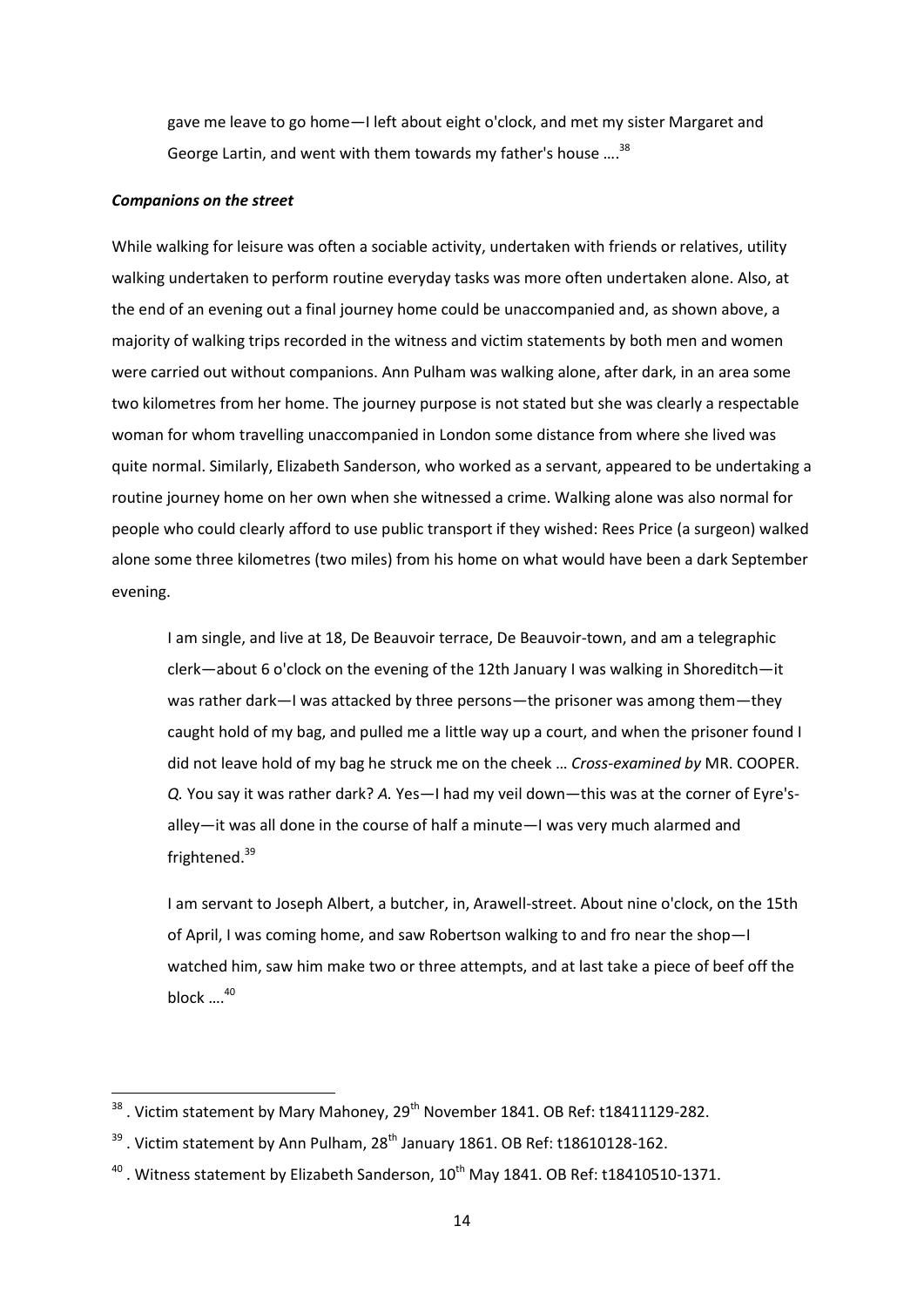gave me leave to go home—I left about eight o'clock, and met my sister Margaret and George Lartin, and went with them towards my father's house ....<sup>38</sup>

#### *Companions on the street*

**.** 

While walking for leisure was often a sociable activity, undertaken with friends or relatives, utility walking undertaken to perform routine everyday tasks was more often undertaken alone. Also, at the end of an evening out a final journey home could be unaccompanied and, as shown above, a majority of walking trips recorded in the witness and victim statements by both men and women were carried out without companions. Ann Pulham was walking alone, after dark, in an area some two kilometres from her home. The journey purpose is not stated but she was clearly a respectable woman for whom travelling unaccompanied in London some distance from where she lived was quite normal. Similarly, Elizabeth Sanderson, who worked as a servant, appeared to be undertaking a routine journey home on her own when she witnessed a crime. Walking alone was also normal for people who could clearly afford to use public transport if they wished: Rees Price (a surgeon) walked alone some three kilometres (two miles) from his home on what would have been a dark September evening.

I am single, and live at 18, De Beauvoir terrace, De Beauvoir-town, and am a telegraphic clerk—about 6 o'clock on the evening of the 12th January I was walking in Shoreditch—it was rather dark—I was attacked by three persons—the prisoner was among them—they caught hold of my bag, and pulled me a little way up a court, and when the prisoner found I did not leave hold of my bag he struck me on the cheek … *Cross-examined by* MR. COOPER. *Q.* You say it was rather dark? *A.* Yes—I had my veil down—this was at the corner of Eyre'salley—it was all done in the course of half a minute—I was very much alarmed and frightened.<sup>39</sup>

I am servant to Joseph Albert, a butcher, in, Arawell-street. About nine o'clock, on the 15th of April, I was coming home, and saw Robertson walking to and fro near the shop—I watched him, saw him make two or three attempts, and at last take a piece of beef off the block …. 40

<sup>&</sup>lt;sup>38</sup>. Victim statement by Mary Mahoney, 29<sup>th</sup> November 1841. OB Ref: t18411129-282.

 $39$ . Victim statement by Ann Pulham, 28<sup>th</sup> January 1861. OB Ref: t18610128-162.

 $40$ . Witness statement by Elizabeth Sanderson,  $10^{th}$  May 1841. OB Ref: t18410510-1371.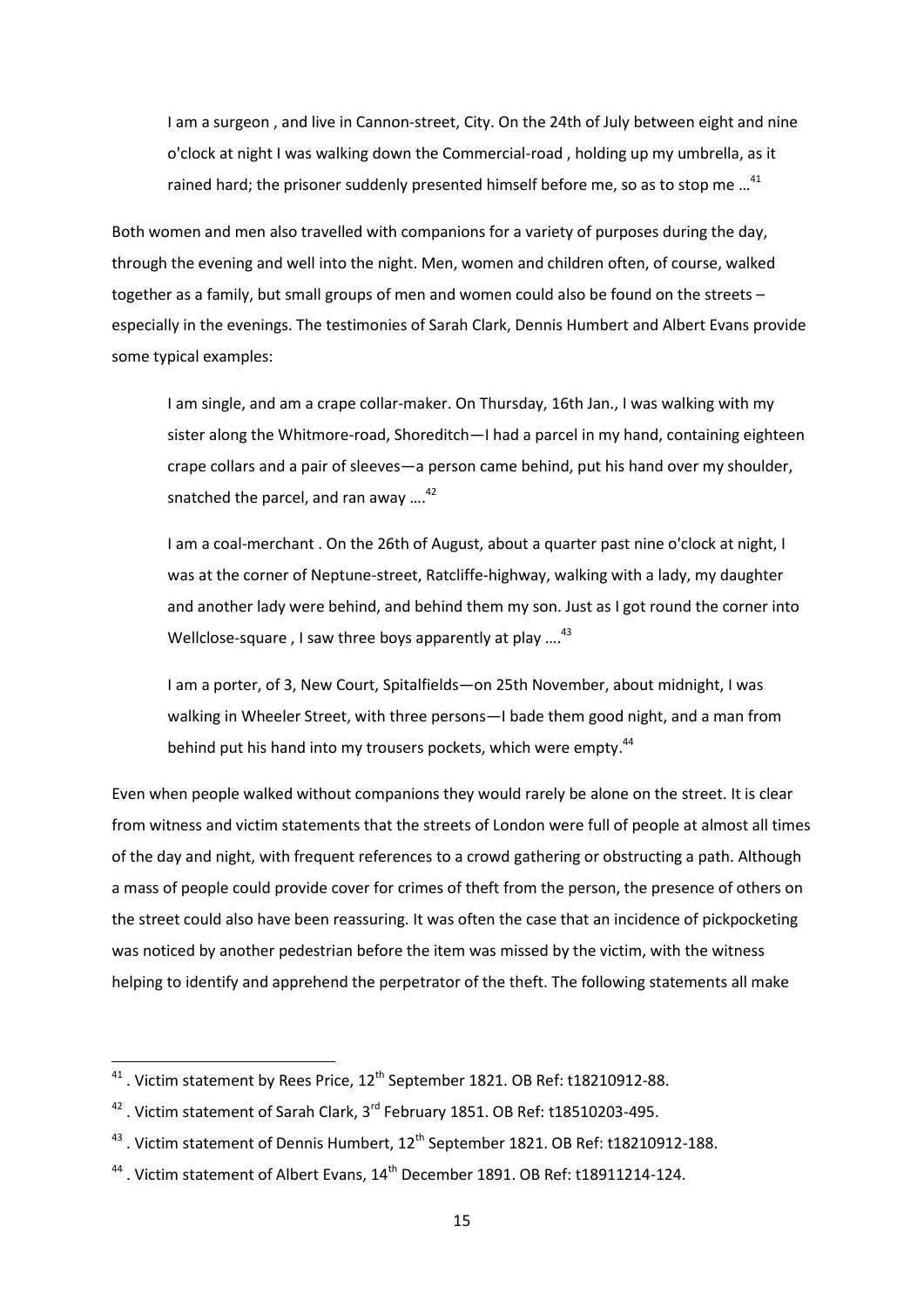I am a surgeon , and live in Cannon-street, City. On the 24th of July between eight and nine o'clock at night I was walking down the Commercial-road , holding up my umbrella, as it rained hard; the prisoner suddenly presented himself before me, so as to stop me …<sup>41</sup>

Both women and men also travelled with companions for a variety of purposes during the day, through the evening and well into the night. Men, women and children often, of course, walked together as a family, but small groups of men and women could also be found on the streets – especially in the evenings. The testimonies of Sarah Clark, Dennis Humbert and Albert Evans provide some typical examples:

I am single, and am a crape collar-maker. On Thursday, 16th Jan., I was walking with my sister along the Whitmore-road, Shoreditch—I had a parcel in my hand, containing eighteen crape collars and a pair of sleeves—a person came behind, put his hand over my shoulder, snatched the parcel, and ran away ....<sup>42</sup>

I am a coal-merchant . On the 26th of August, about a quarter past nine o'clock at night, I was at the corner of Neptune-street, Ratcliffe-highway, walking with a lady, my daughter and another lady were behind, and behind them my son. Just as I got round the corner into Wellclose-square, I saw three boys apparently at play ....<sup>43</sup>

I am a porter, of 3, New Court, Spitalfields—on 25th November, about midnight, I was walking in Wheeler Street, with three persons—I bade them good night, and a man from behind put his hand into my trousers pockets, which were empty.<sup>44</sup>

Even when people walked without companions they would rarely be alone on the street. It is clear from witness and victim statements that the streets of London were full of people at almost all times of the day and night, with frequent references to a crowd gathering or obstructing a path. Although a mass of people could provide cover for crimes of theft from the person, the presence of others on the street could also have been reassuring. It was often the case that an incidence of pickpocketing was noticed by another pedestrian before the item was missed by the victim, with the witness helping to identify and apprehend the perpetrator of the theft. The following statements all make

 $41$ . Victim statement by Rees Price,  $12<sup>th</sup>$  September 1821, OB Ref: t18210912-88.

 $42$ . Victim statement of Sarah Clark, 3 $^{rd}$  February 1851. OB Ref: t18510203-495.

 $43$ . Victim statement of Dennis Humbert, 12<sup>th</sup> September 1821. OB Ref: t18210912-188.

 $44$ . Victim statement of Albert Evans,  $14<sup>th</sup>$  December 1891. OB Ref: t18911214-124.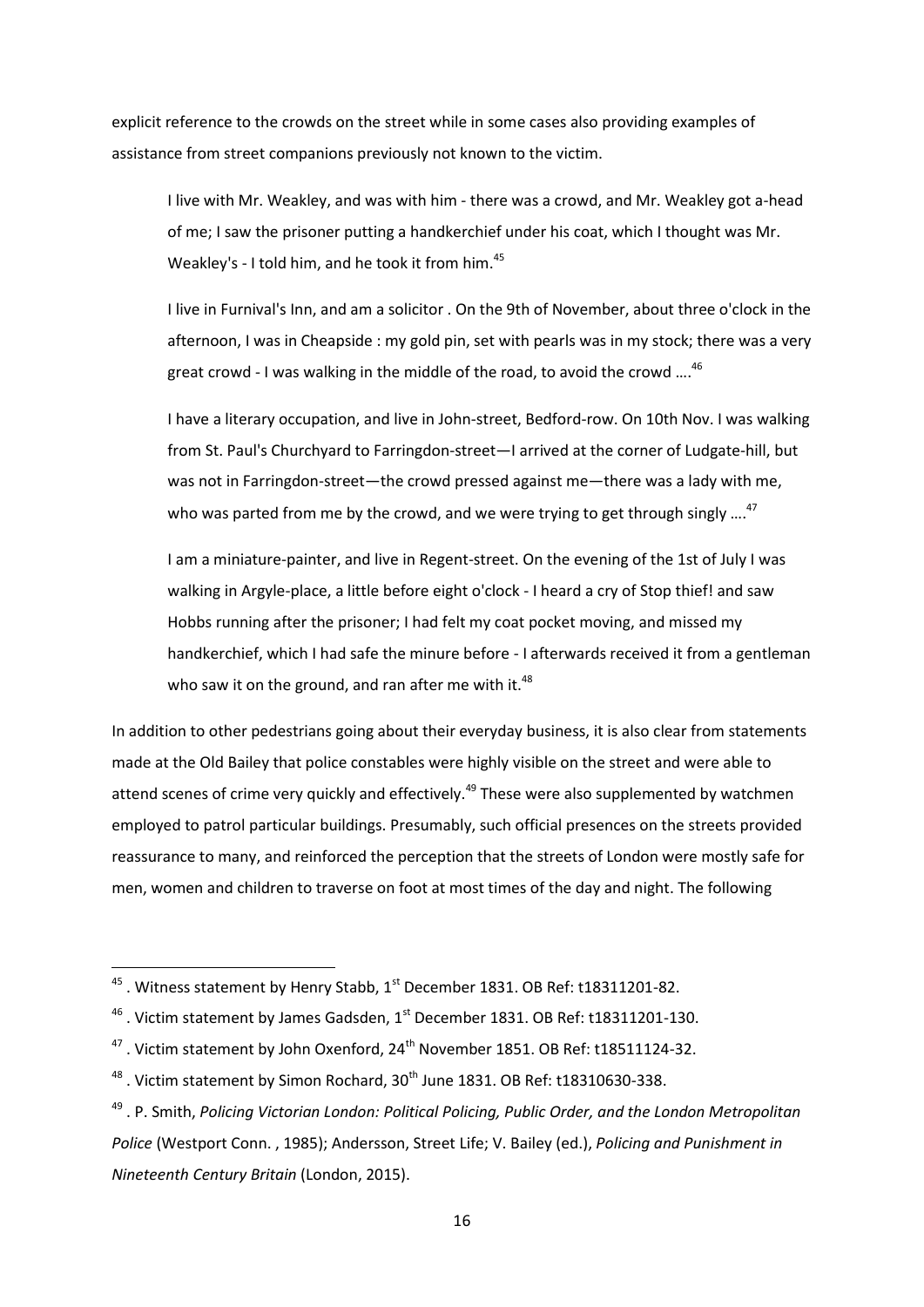explicit reference to the crowds on the street while in some cases also providing examples of assistance from street companions previously not known to the victim.

I live with Mr. Weakley, and was with him - there was a crowd, and Mr. Weakley got a-head of me; I saw the prisoner putting a handkerchief under his coat, which I thought was Mr. Weakley's - I told him, and he took it from him.<sup>45</sup>

I live in Furnival's Inn, and am a solicitor . On the 9th of November, about three o'clock in the afternoon, I was in Cheapside : my gold pin, set with pearls was in my stock; there was a very great crowd - I was walking in the middle of the road, to avoid the crowd ....<sup>46</sup>

I have a literary occupation, and live in John-street, Bedford-row. On 10th Nov. I was walking from St. Paul's Churchyard to Farringdon-street—I arrived at the corner of Ludgate-hill, but was not in Farringdon-street—the crowd pressed against me—there was a lady with me, who was parted from me by the crowd, and we were trying to get through singly ....<sup>47</sup>

I am a miniature-painter, and live in Regent-street. On the evening of the 1st of July I was walking in Argyle-place, a little before eight o'clock - I heard a cry of Stop thief! and saw Hobbs running after the prisoner; I had felt my coat pocket moving, and missed my handkerchief, which I had safe the minure before - I afterwards received it from a gentleman who saw it on the ground, and ran after me with it. $48$ 

In addition to other pedestrians going about their everyday business, it is also clear from statements made at the Old Bailey that police constables were highly visible on the street and were able to attend scenes of crime very quickly and effectively.<sup>49</sup> These were also supplemented by watchmen employed to patrol particular buildings. Presumably, such official presences on the streets provided reassurance to many, and reinforced the perception that the streets of London were mostly safe for men, women and children to traverse on foot at most times of the day and night. The following

 $45$ . Witness statement by Henry Stabb,  $1<sup>st</sup>$  December 1831. OB Ref: t18311201-82.

<sup>&</sup>lt;sup>46</sup>. Victim statement by James Gadsden, 1<sup>st</sup> December 1831. OB Ref: t18311201-130.

 $47$ . Victim statement by John Oxenford,  $24<sup>th</sup>$  November 1851, OB Ref: t18511124-32.

 $48$ . Victim statement by Simon Rochard,  $30<sup>th</sup>$  June 1831, OB Ref: t18310630-338.

<sup>49</sup> . P. Smith, *Policing Victorian London: Political Policing, Public Order, and the London Metropolitan Police* (Westport Conn. , 1985); Andersson, Street Life; V. Bailey (ed.), *Policing and Punishment in Nineteenth Century Britain* (London, 2015).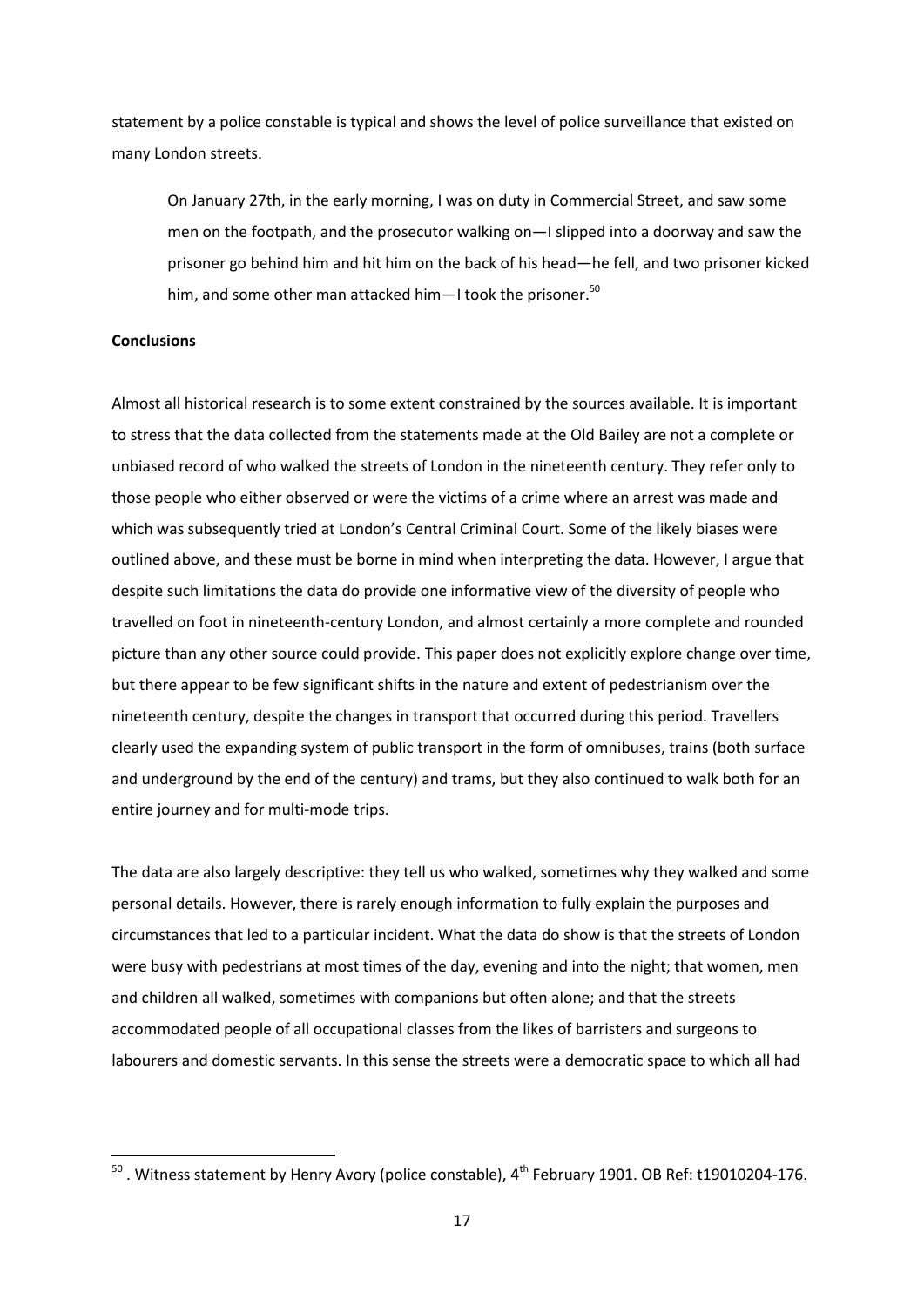statement by a police constable is typical and shows the level of police surveillance that existed on many London streets.

On January 27th, in the early morning, I was on duty in Commercial Street, and saw some men on the footpath, and the prosecutor walking on—I slipped into a doorway and saw the prisoner go behind him and hit him on the back of his head—he fell, and two prisoner kicked him, and some other man attacked him—I took the prisoner.<sup>50</sup>

#### **Conclusions**

**.** 

Almost all historical research is to some extent constrained by the sources available. It is important to stress that the data collected from the statements made at the Old Bailey are not a complete or unbiased record of who walked the streets of London in the nineteenth century. They refer only to those people who either observed or were the victims of a crime where an arrest was made and which was subsequently tried at London's Central Criminal Court. Some of the likely biases were outlined above, and these must be borne in mind when interpreting the data. However, I argue that despite such limitations the data do provide one informative view of the diversity of people who travelled on foot in nineteenth-century London, and almost certainly a more complete and rounded picture than any other source could provide. This paper does not explicitly explore change over time, but there appear to be few significant shifts in the nature and extent of pedestrianism over the nineteenth century, despite the changes in transport that occurred during this period. Travellers clearly used the expanding system of public transport in the form of omnibuses, trains (both surface and underground by the end of the century) and trams, but they also continued to walk both for an entire journey and for multi-mode trips.

The data are also largely descriptive: they tell us who walked, sometimes why they walked and some personal details. However, there is rarely enough information to fully explain the purposes and circumstances that led to a particular incident. What the data do show is that the streets of London were busy with pedestrians at most times of the day, evening and into the night; that women, men and children all walked, sometimes with companions but often alone; and that the streets accommodated people of all occupational classes from the likes of barristers and surgeons to labourers and domestic servants. In this sense the streets were a democratic space to which all had

 $50$ . Witness statement by Henry Avory (police constable),  $4^{\text{th}}$  February 1901. OB Ref: t19010204-176.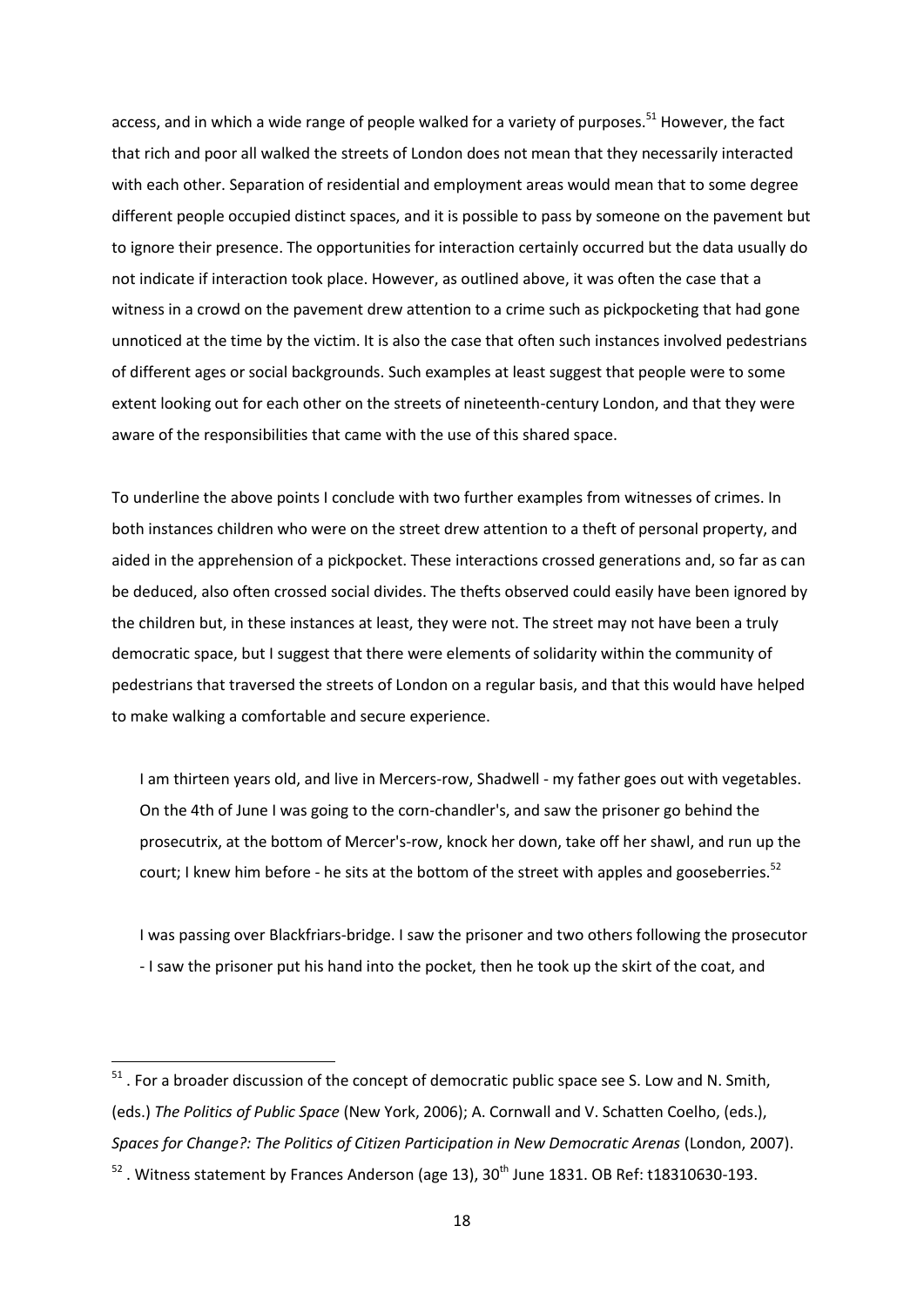access, and in which a wide range of people walked for a variety of purposes.<sup>51</sup> However, the fact that rich and poor all walked the streets of London does not mean that they necessarily interacted with each other. Separation of residential and employment areas would mean that to some degree different people occupied distinct spaces, and it is possible to pass by someone on the pavement but to ignore their presence. The opportunities for interaction certainly occurred but the data usually do not indicate if interaction took place. However, as outlined above, it was often the case that a witness in a crowd on the pavement drew attention to a crime such as pickpocketing that had gone unnoticed at the time by the victim. It is also the case that often such instances involved pedestrians of different ages or social backgrounds. Such examples at least suggest that people were to some extent looking out for each other on the streets of nineteenth-century London, and that they were aware of the responsibilities that came with the use of this shared space.

To underline the above points I conclude with two further examples from witnesses of crimes. In both instances children who were on the street drew attention to a theft of personal property, and aided in the apprehension of a pickpocket. These interactions crossed generations and, so far as can be deduced, also often crossed social divides. The thefts observed could easily have been ignored by the children but, in these instances at least, they were not. The street may not have been a truly democratic space, but I suggest that there were elements of solidarity within the community of pedestrians that traversed the streets of London on a regular basis, and that this would have helped to make walking a comfortable and secure experience.

I am thirteen years old, and live in Mercers-row, Shadwell - my father goes out with vegetables. On the 4th of June I was going to the corn-chandler's, and saw the prisoner go behind the prosecutrix, at the bottom of Mercer's-row, knock her down, take off her shawl, and run up the court; I knew him before - he sits at the bottom of the street with apples and gooseberries.<sup>52</sup>

I was passing over Blackfriars-bridge. I saw the prisoner and two others following the prosecutor - I saw the prisoner put his hand into the pocket, then he took up the skirt of the coat, and

 $51$ . For a broader discussion of the concept of democratic public space see S. Low and N. Smith, (eds.) *The Politics of Public Space* (New York, 2006); A. Cornwall and V. Schatten Coelho, (eds.), *Spaces for Change?: The Politics of Citizen Participation in New Democratic Arenas* (London, 2007).  $52$ . Witness statement by Frances Anderson (age 13),  $30<sup>th</sup>$  June 1831. OB Ref: t18310630-193.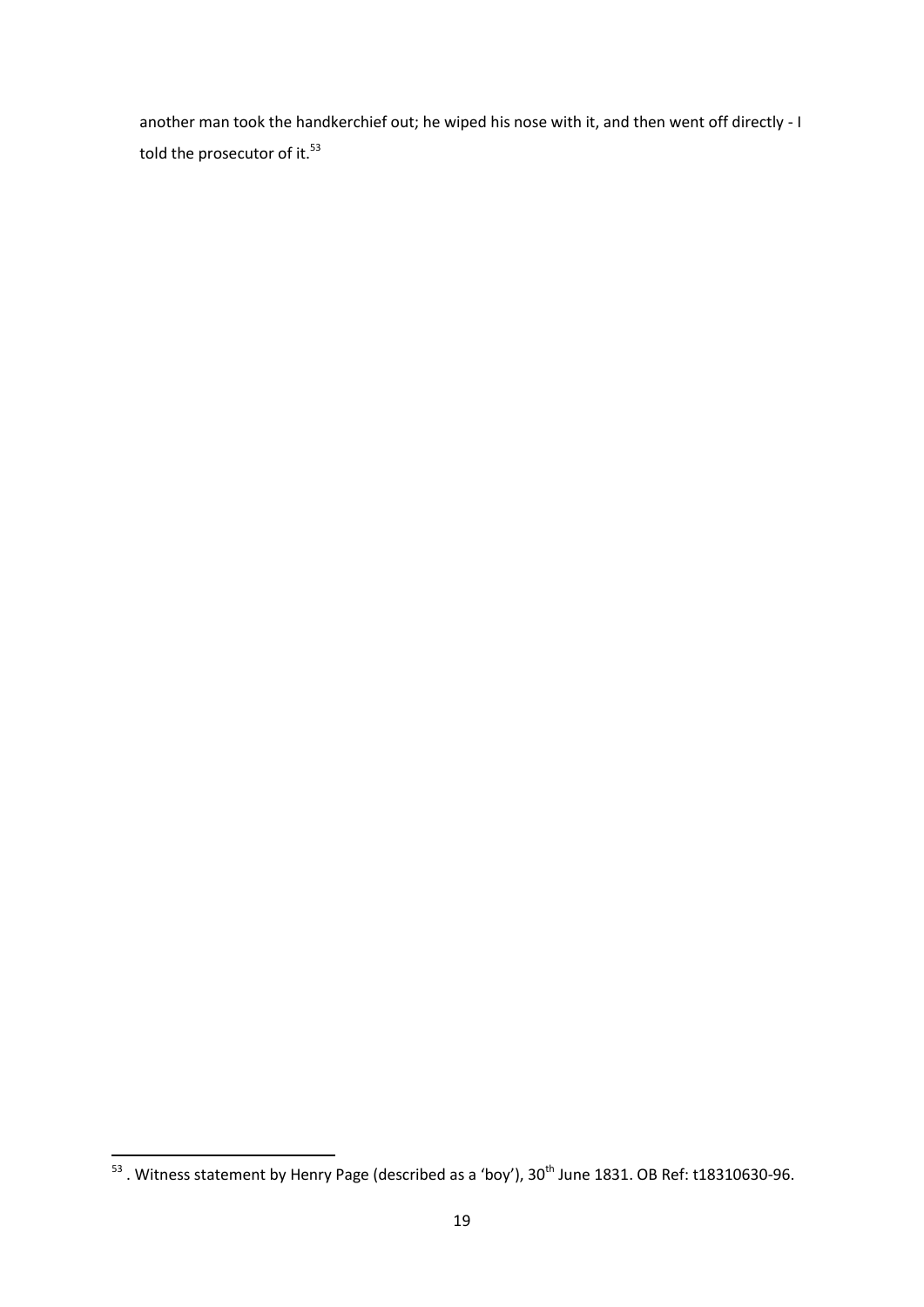another man took the handkerchief out; he wiped his nose with it, and then went off directly - I told the prosecutor of it.<sup>53</sup>

**<sup>.</sup>**  $^{53}$  . Witness statement by Henry Page (described as a 'boy'), 30<sup>th</sup> June 1831. OB Ref: t18310630-96.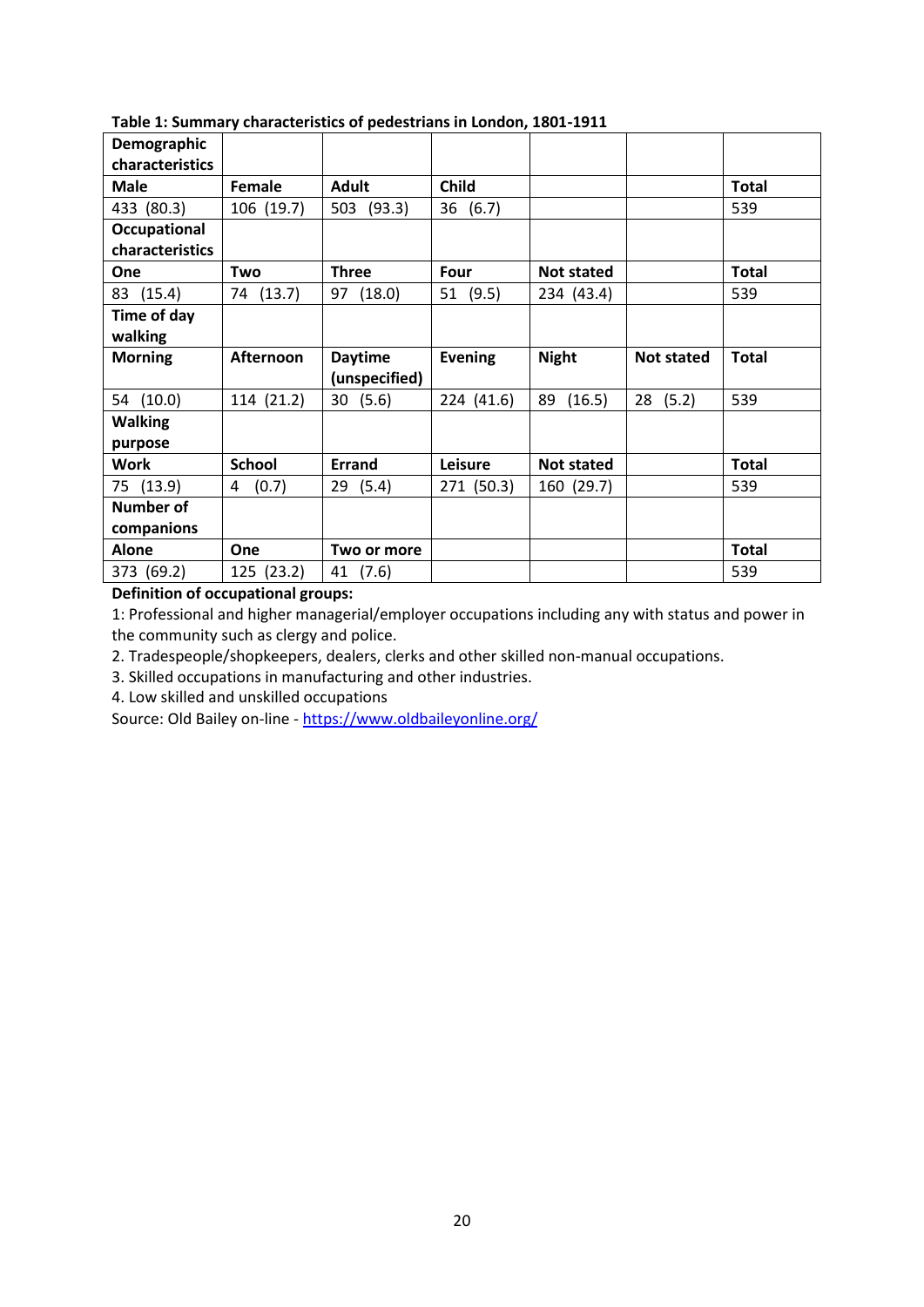| Demographic     |                  |                |                |                   |                   |              |
|-----------------|------------------|----------------|----------------|-------------------|-------------------|--------------|
| characteristics |                  |                |                |                   |                   |              |
| <b>Male</b>     | Female           | <b>Adult</b>   | <b>Child</b>   |                   |                   | <b>Total</b> |
| 433 (80.3)      | 106 (19.7)       | 503 (93.3)     | 36 (6.7)       |                   |                   | 539          |
| Occupational    |                  |                |                |                   |                   |              |
| characteristics |                  |                |                |                   |                   |              |
| One             | Two              | <b>Three</b>   | Four           | <b>Not stated</b> |                   | <b>Total</b> |
| 83 (15.4)       | (13.7)<br>74     | (18.0)<br>97   | 51 (9.5)       | 234 (43.4)        |                   | 539          |
| Time of day     |                  |                |                |                   |                   |              |
| walking         |                  |                |                |                   |                   |              |
| <b>Morning</b>  | <b>Afternoon</b> | <b>Daytime</b> | <b>Evening</b> | <b>Night</b>      | <b>Not stated</b> | <b>Total</b> |
|                 |                  | (unspecified)  |                |                   |                   |              |
| 54 (10.0)       | 114 (21.2)       | 30(5.6)        | 224 (41.6)     | 89<br>(16.5)      | 28 (5.2)          | 539          |
| <b>Walking</b>  |                  |                |                |                   |                   |              |
| purpose         |                  |                |                |                   |                   |              |
| <b>Work</b>     | <b>School</b>    | <b>Errand</b>  | Leisure        | <b>Not stated</b> |                   | <b>Total</b> |
| 75 (13.9)       | (0.7)<br>4       | 29 (5.4)       | 271 (50.3)     | 160 (29.7)        |                   | 539          |
| Number of       |                  |                |                |                   |                   |              |
| companions      |                  |                |                |                   |                   |              |
| <b>Alone</b>    | One              | Two or more    |                |                   |                   | <b>Total</b> |
| 373 (69.2)      | 125 (23.2)       | 41 (7.6)       |                |                   |                   | 539          |

**Table 1: Summary characteristics of pedestrians in London, 1801-1911**

**Definition of occupational groups:**

1: Professional and higher managerial/employer occupations including any with status and power in the community such as clergy and police.

2. Tradespeople/shopkeepers, dealers, clerks and other skilled non-manual occupations.

3. Skilled occupations in manufacturing and other industries.

4. Low skilled and unskilled occupations

Source: Old Bailey on-line - <https://www.oldbaileyonline.org/>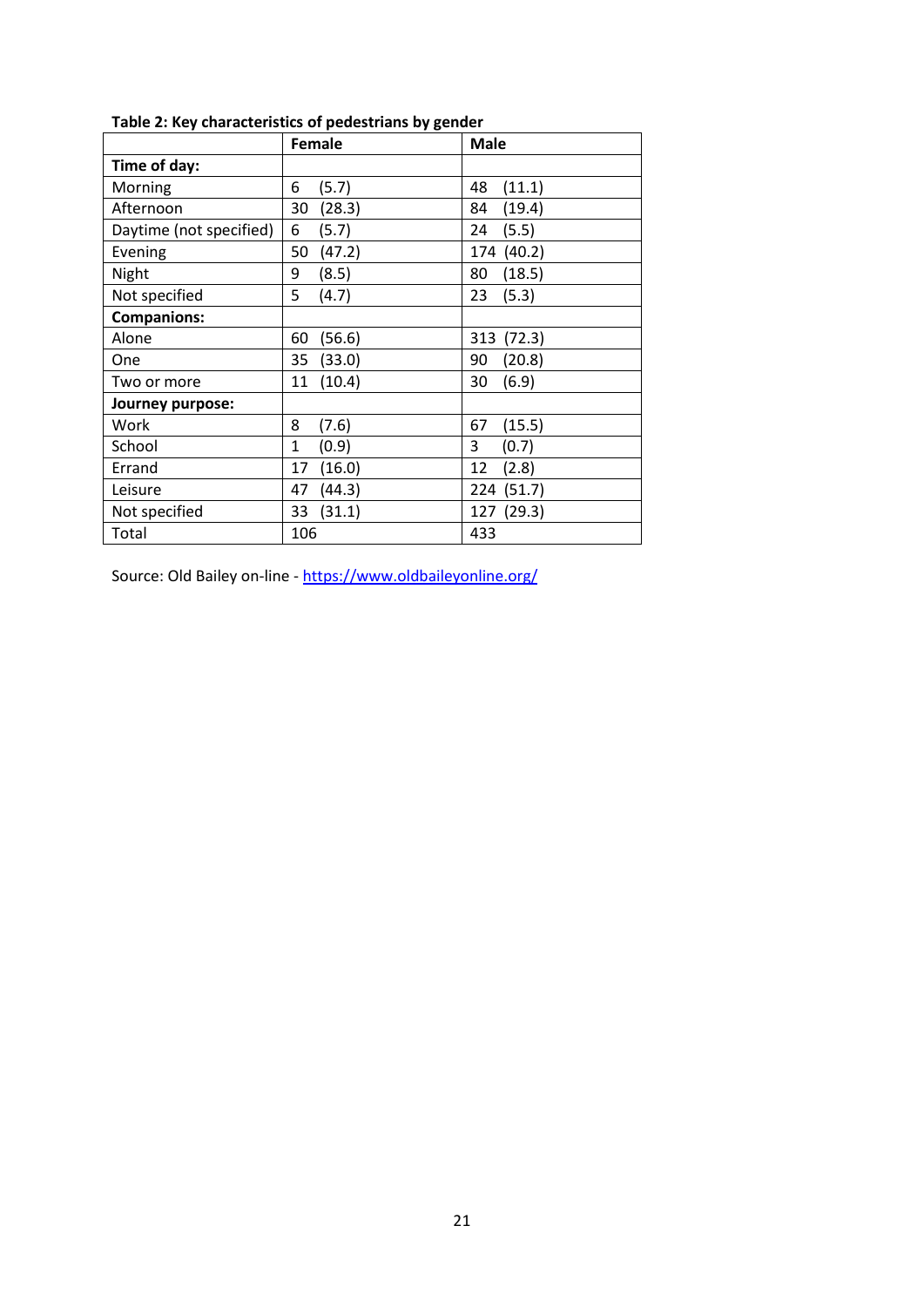|                         | Female       | <b>Male</b>              |
|-------------------------|--------------|--------------------------|
| Time of day:            |              |                          |
| Morning                 | (5.7)<br>6   | (11.1)<br>48             |
| Afternoon               | (28.3)<br>30 | (19.4)<br>84             |
| Daytime (not specified) | (5.7)<br>6   | (5.5)<br>24              |
| Evening                 | (47.2)<br>50 | 174 (40.2)               |
| Night                   | (8.5)<br>9   | (18.5)<br>80             |
| Not specified           | 5<br>(4.7)   | (5.3)<br>23              |
| <b>Companions:</b>      |              |                          |
| Alone                   | (56.6)<br>60 | 313 (72.3)               |
| One                     | 35 (33.0)    | (20.8)<br>90             |
| Two or more             | (10.4)<br>11 | (6.9)<br>30              |
| Journey purpose:        |              |                          |
| Work                    | 8<br>(7.6)   | (15.5)<br>67             |
| School                  | (0.9)<br>1   | 3<br>(0.7)               |
| Errand                  | 17<br>(16.0) | (2.8)<br>12 <sup>2</sup> |
| Leisure                 | (44.3)<br>47 | 224 (51.7)               |
| Not specified           | 33 (31.1)    | 127 (29.3)               |
| Total                   | 106          | 433                      |

## **Table 2: Key characteristics of pedestrians by gender**

Source: Old Bailey on-line - <https://www.oldbaileyonline.org/>